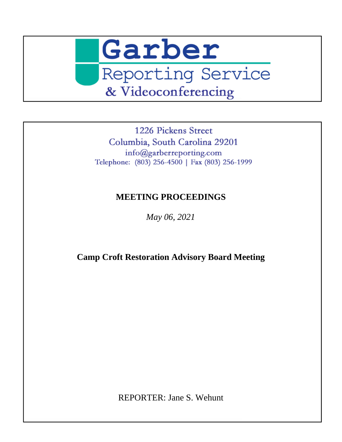May 06, 2021

**Camp Croft Restoration Advisory Board Meeting** 

REPORTER: Jane S. Wehunt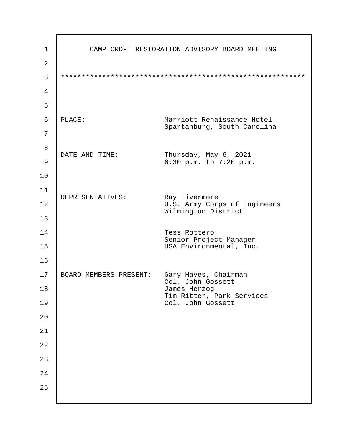| 1              | CAMP CROFT RESTORATION ADVISORY BOARD MEETING                              |
|----------------|----------------------------------------------------------------------------|
| $\overline{2}$ |                                                                            |
| 3              |                                                                            |
| 4              |                                                                            |
| 5              |                                                                            |
| 6              | PLACE:<br><b>Marriott Renaissance Hotel</b><br>Spartanburg, South Carolina |
| 7              |                                                                            |
| 8              | DATE AND TIME:<br>Thursday, May 6, 2021                                    |
| 9              | 6:30 p.m. to 7:20 p.m.                                                     |
| 10             |                                                                            |
| 11             | REPRESENTATIVES:<br>Ray Livermore                                          |
| 12             | U.S. Army Corps of Engineers<br><b>Wilmington District</b>                 |
| 13             |                                                                            |
| 14             | <b>Tess Rottero</b><br>Senior Project Manager                              |
| 15             | USA Environmental, Inc.                                                    |
| 16             |                                                                            |
| 17             | <b>BOARD MEMBERS PRESENT: Gary Hayes, Chairman</b><br>Col. John Gossett    |
| 18             | James Herzog<br>Tim Ritter, Park Services                                  |
| 19             | Col. John Gossett                                                          |
| 20             |                                                                            |
| 21             |                                                                            |
| 22             |                                                                            |
| 23             |                                                                            |
| 24             |                                                                            |
| 25             |                                                                            |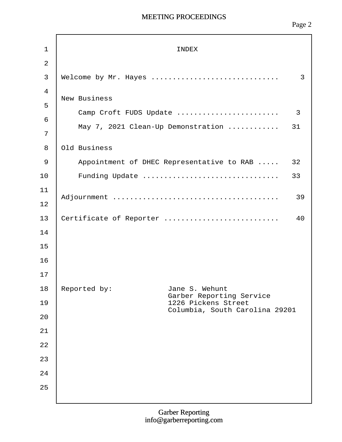Page 2

| 1                                  | <b>INDEX</b>                                                                  |
|------------------------------------|-------------------------------------------------------------------------------|
| $\overline{2}$                     |                                                                               |
| 3                                  | Welcome by Mr. Hayes<br>3                                                     |
| $\overline{4}$<br>5<br>6<br>7<br>8 | New Business<br>May 7, 2021 Clean-Up Demonstration  31<br><b>Old Business</b> |
| $9\,$                              | Appointment of DHEC Representative to RAB  32                                 |
| 10                                 | Funding Update<br>33                                                          |
| 11<br>12                           | 39                                                                            |
| 13                                 | Certificate of Reporter<br>40                                                 |
| 14                                 |                                                                               |
| 15                                 |                                                                               |
| 16                                 |                                                                               |
| 17                                 |                                                                               |
| 18                                 | Reported by:<br>Jane S. Wehunt<br><b>Garber Reporting Service</b>             |
| 19                                 | 1226 Pickens Street<br>Columbia, South Carolina 29201                         |
| 20                                 |                                                                               |
| 21                                 |                                                                               |
| 22                                 |                                                                               |
| 23                                 |                                                                               |
| 24                                 |                                                                               |
| 25                                 |                                                                               |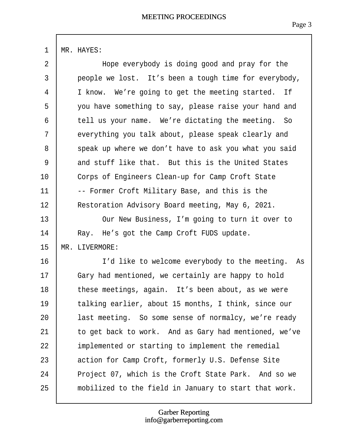<span id="page-3-0"></span>

| $\overline{2}$ | Hope everybody is doing good and pray for the         |
|----------------|-------------------------------------------------------|
| 3              | people we lost. It's been a tough time for everybody, |
| 4              | I know. We're going to get the meeting started. If    |
| 5              | you have something to say, please raise your hand and |
| 6              | tell us your name. We're dictating the meeting. So    |
| $\overline{7}$ | everything you talk about, please speak clearly and   |
| 8              | speak up where we don't have to ask you what you said |
| 9              | and stuff like that. But this is the United States    |
| 10             | Corps of Engineers Clean-up for Camp Croft State      |
| 11             | -- Former Croft Military Base, and this is the        |
| 12             | Restoration Advisory Board meeting, May 6, 2021.      |
| 13             | Our New Business, I'm going to turn it over to        |
| 14             | Ray. He's got the Camp Croft FUDS update.             |
| 15             | <b>MR. LIVERMORE:</b>                                 |
| 16             | I'd like to welcome everybody to the meeting. As      |
| 17             | Gary had mentioned, we certainly are happy to hold    |
| 18             | these meetings, again. It's been about, as we were    |
| 19             | talking earlier, about 15 months, I think, since our  |
| 20             | last meeting. So some sense of normalcy, we're ready  |
| 21             | to get back to work. And as Gary had mentioned, we've |
| 22             | implemented or starting to implement the remedial     |
| 23             | action for Camp Croft, formerly U.S. Defense Site     |
| 24             | Project 07, which is the Croft State Park. And so we  |
| 25             | mobilized to the field in January to start that work. |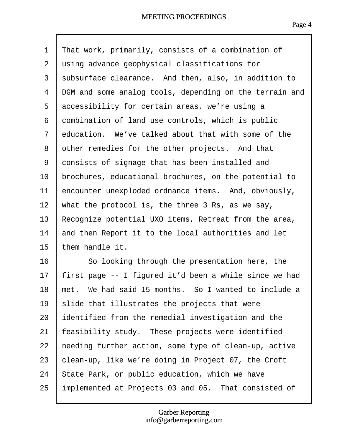- <span id="page-4-0"></span>1 That work, primarily, consists of a combination of
- 2 using advance geophysical classifications for
- 3 subsurface clearance. And then, also, in addition to
- 4 DGM and some analog tools, depending on the terrain and
- 5 accessibility for certain areas, we're using a
- 6 combination of land use controls, which is public
- 7 education. We've talked about that with some of the
- 8 other remedies for the other projects. And that
- 9 chnsists of signage that has been installed and
- 10 brochures, educational brochures, on the potential to
- 11  $\phi$ ncounter unexploded ordnance items. And, obviously,
- 12 what the protocol is, the three 3 Rs, as we say,
- 13 Recognize potential UXO items, Retreat from the area,
- 14 and then Report it to the local authorities and let
- 15 them handle it.
- 16 **So looking through the presentation here, the**
- 17 first page -- I figured it'd been a while since we had
- 18 met. We had said 15 months. So I wanted to include a
- 19 silde that illustrates the projects that were
- 20 identified from the remedial investigation and the
- 21 feasibility study. These projects were identified
- 22 needing further action, some type of clean-up, active
- 23  $\phi$  dean-up, like we're doing in Project 07, the Croft
- 24 State Park, or public education, which we have
- 25 implemented at Projects 03 and 05. That consisted of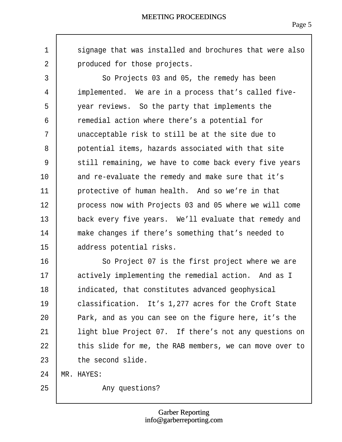$\Gamma$ 

<span id="page-5-0"></span>

| 1              | signage that was installed and brochures that were also |
|----------------|---------------------------------------------------------|
| $\overline{2}$ | produced for those projects.                            |
| 3              | So Projects 03 and 05, the remedy has been              |
| 4              | implemented. We are in a process that's called five-    |
| 5              | year reviews. So the party that implements the          |
| 6              | remedial action where there's a potential for           |
| $\overline{7}$ | unacceptable risk to still be at the site due to        |
| 8              | potential items, hazards associated with that site      |
| 9              | still remaining, we have to come back every five years  |
| 10             | and re-evaluate the remedy and make sure that it's      |
| 11             | protective of human health. And so we're in that        |
| 12             | process now with Projects 03 and 05 where we will come  |
| 13             | back every five years. We'll evaluate that remedy and   |
| 14             | make changes if there's something that's needed to      |
| 15             | address potential risks.                                |
| 16             | So Project 07 is the first project where we are         |
| 17             | actively implementing the remedial action. And as I     |
| 18             | indicated, that constitutes advanced geophysical        |
| 19             | classification. It's 1,277 acres for the Croft State    |
| 20             | Park, and as you can see on the figure here, it's the   |
| 21             | light blue Project 07. If there's not any questions on  |
| 22             | this slide for me, the RAB members, we can move over to |
| 23             | the second slide.                                       |
| 24             | MR. HAYES:                                              |
| 25             | Any questions?                                          |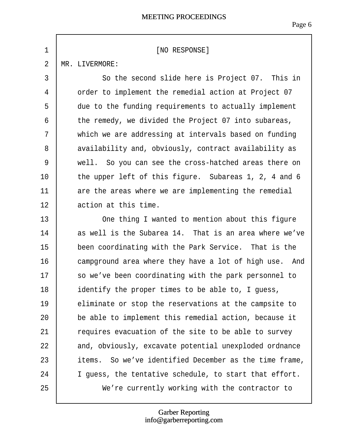<span id="page-6-0"></span>

| 1              | [NO RESPONSE]                                          |
|----------------|--------------------------------------------------------|
| $\overline{2}$ | MR. LIVERMORE:                                         |
| 3              | So the second slide here is Project 07. This in        |
| 4              | order to implement the remedial action at Project 07   |
| 5              | due to the funding requirements to actually implement  |
| 6              | the remedy, we divided the Project 07 into subareas,   |
| 7              | which we are addressing at intervals based on funding  |
| 8              | availability and, obviously, contract availability as  |
| 9              | well. So you can see the cross-hatched areas there on  |
| 10             | the upper left of this figure. Subareas 1, 2, 4 and 6  |
| 11             | are the areas where we are implementing the remedial   |
| 12             | action at this time.                                   |
| 13             | One thing I wanted to mention about this figure        |
| 14             | as well is the Subarea 14. That is an area where we've |
| 15             | been coordinating with the Park Service. That is the   |
| 16             | campground area where they have a lot of high use. And |
| 17             | so we've been coordinating with the park personnel to  |
| 18             | identify the proper times to be able to, I guess,      |
| 19             | eliminate or stop the reservations at the campsite to  |
| 20             | be able to implement this remedial action, because it  |
| 21             | requires evacuation of the site to be able to survey   |
| 22             | and, obviously, excavate potential unexploded ordnance |
| 23             | items. So we've identified December as the time frame, |
| 24             | I guess, the tentative schedule, to start that effort. |
| 25             | We're currently working with the contractor to         |

 $\Gamma$ 

#### Garber Reporting info@garberreporting.com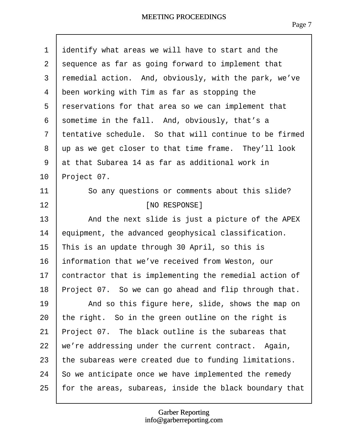<span id="page-7-0"></span>

| 1              | identify what areas we will have to start and the       |
|----------------|---------------------------------------------------------|
| $\overline{2}$ | sequence as far as going forward to implement that      |
| 3              | remedial action. And, obviously, with the park, we've   |
| 4              | been working with Tim as far as stopping the            |
| 5              | reservations for that area so we can implement that     |
| 6              | spmetime in the fall. And, obviously, that's a          |
| 7              | tentative schedule. So that will continue to be firmed  |
| 8              | up as we get closer to that time frame. They'll look    |
| 9              | at that Subarea 14 as far as additional work in         |
| 10             | Project 07.                                             |
| 11             | So any questions or comments about this slide?          |
| 12             | [NO RESPONSE]                                           |
| 13             | And the next slide is just a picture of the APEX        |
| 14             | equipment, the advanced geophysical classification.     |
| 15             | This is an update through 30 April, so this is          |
| 16             | ihformation that we've received from Weston, our        |
| 17             | contractor that is implementing the remedial action of  |
| 18             | Project 07. So we can go ahead and flip through that.   |
| 19             | And so this figure here, slide, shows the map on        |
| 20             | the right. So in the green outline on the right is      |
| 21             | Project 07. The black outline is the subareas that      |
| 22             | we're addressing under the current contract. Again,     |
| 23             | the subareas were created due to funding limitations.   |
| 24             | \$0 we anticipate once we have implemented the remedy   |
| 25             | for the areas, subareas, inside the black boundary that |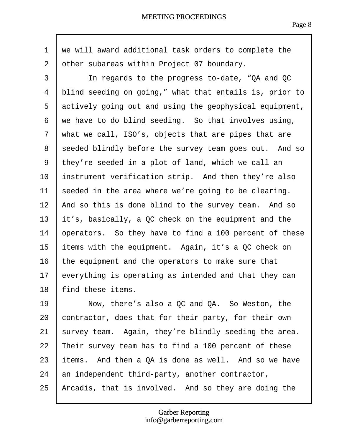<span id="page-8-0"></span>1 we will award additional task orders to complete the 2 other subareas within Project 07 boundary. 3 | In regards to the progress to-date, "QA and QC 4 blind seeding on going," what that entails is, prior to 5 actively going out and using the geophysical equipment, 6 we have to do blind seeding. So that involves using, 7 what we call, ISO's, objects that are pipes that are 8 sheeded blindly before the survey team goes out. And so ·9· ·they're seeded in a plot of land, which we call an 10 instrument verification strip. And then they're also 11 seeded in the area where we're going to be clearing. 12 And so this is done blind to the survey team. And so 13 it's, basically, a QC check on the equipment and the 14 *Sperators.* So they have to find a 100 percent of these 15 items with the equipment. Again, it's a QC check on 16 the equipment and the operators to make sure that 17  $\epsilon$  verything is operating as intended and that they can 18 find these items. 19 | Now, there's also a QC and QA. So Weston, the 20 *contractor, does that for their party, for their own* 21  $\frac{1}{2}$  survey team. Again, they're blindly seeding the area. 22 Their survey team has to find a 100 percent of these 23 items. And then a QA is done as well. And so we have 24 an independent third-party, another contractor, 25 Arcadis, that is involved. And so they are doing the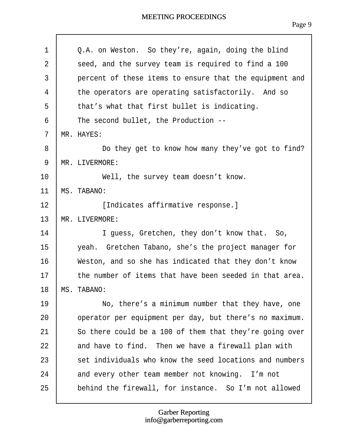<span id="page-9-0"></span>

| 1              | Q.A. on Weston. So they're, again, doing the blind      |
|----------------|---------------------------------------------------------|
| 2              | seed, and the survey team is required to find a 100     |
| 3              | percent of these items to ensure that the equipment and |
| 4              | the operators are operating satisfactorily. And so      |
| 5              | that's what that first bullet is indicating.            |
| 6              | The second bullet, the Production --                    |
| $\overline{7}$ | MR. HAYES:                                              |
| 8              | Do they get to know how many they've got to find?       |
| 9              | MR. LIVERMORE:                                          |
| 10             | Well, the survey team doesn't know.                     |
| 11             | MS. TABANO:                                             |
| 12             | [Indicates affirmative response.]                       |
| 13             | MR. LIVERMORE:                                          |
| 14             | I guess, Gretchen, they don't know that. So,            |
| 15             | yeah. Gretchen Tabano, she's the project manager for    |
| 16             | Weston, and so she has indicated that they don't know   |
| 17             | the number of items that have been seeded in that area. |
| 18             | <b>MS. TABANO:</b>                                      |
| 19             | No, there's a minimum number that they have, one        |
| 20             | operator per equipment per day, but there's no maximum. |
| 21             | So there could be a 100 of them that they're going over |
| 22             | and have to find. Then we have a firewall plan with     |
| 23             | set individuals who know the seed locations and numbers |
| 24             | and every other team member not knowing. I'm not        |
| 25             | behind the firewall, for instance. So I'm not allowed   |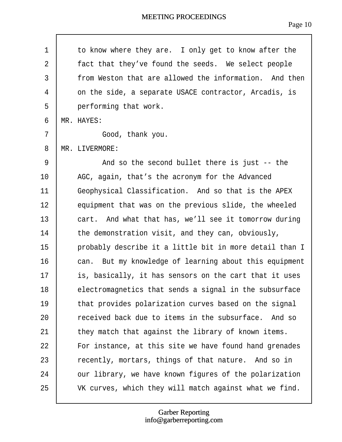<span id="page-10-0"></span>

|          | to know where they are. I only get to know after the    |
|----------|---------------------------------------------------------|
|          | fact that they've found the seeds. We select people     |
|          | from Weston that are allowed the information. And then  |
|          | on the side, a separate USACE contractor, Arcadis, is   |
|          | performing that work.                                   |
|          | MR. HAYES:                                              |
|          | Good, thank you.                                        |
|          | MR. LIVERMORE:                                          |
|          | And so the second bullet there is just -- the           |
|          | AGC, again, that's the acronym for the Advanced         |
|          | Geophysical Classification. And so that is the APEX     |
|          | equipment that was on the previous slide, the wheeled   |
|          | cart. And what that has, we'll see it tomorrow during   |
|          | the demonstration visit, and they can, obviously,       |
|          | probably describe it a little bit in more detail than I |
|          | can. But my knowledge of learning about this equipment  |
|          | is, basically, it has sensors on the cart that it uses  |
|          | electromagnetics that sends a signal in the subsurface  |
|          | that provides polarization curves based on the signal   |
|          | received back due to items in the subsurface. And so    |
|          | they match that against the library of known items.     |
|          | For instance, at this site we have found hand grenades  |
|          | recently, mortars, things of that nature. And so in     |
|          | our library, we have known figures of the polarization  |
|          | VK curves, which they will match against what we find.  |
| 12<br>13 |                                                         |

 $\sqrt{ }$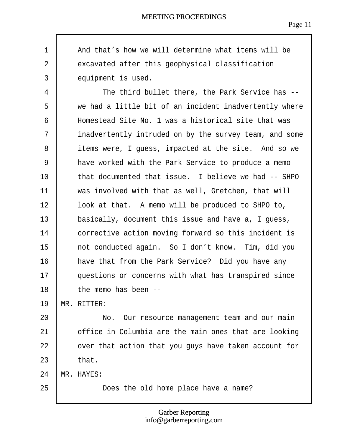<span id="page-11-0"></span>

| 1              | And that's how we will determine what items will be    |
|----------------|--------------------------------------------------------|
| $\overline{2}$ | excavated after this geophysical classification        |
| 3              | equipment is used.                                     |
| 4              | The third bullet there, the Park Service has --        |
| 5              | we had a little bit of an incident inadvertently where |
| 6              | Homestead Site No. 1 was a historical site that was    |
| $\overline{7}$ | inadvertently intruded on by the survey team, and some |
| 8              | items were, I guess, impacted at the site. And so we   |
| 9              | have worked with the Park Service to produce a memo    |
| 10             | that documented that issue. I believe we had -- SHPO   |
| 11             | was involved with that as well, Gretchen, that will    |
| 12             | look at that. A memo will be produced to SHPO to,      |
| 13             | basically, document this issue and have a, I guess,    |
| 14             | corrective action moving forward so this incident is   |
| 15             | not conducted again. So I don't know. Tim, did you     |
| 16             | have that from the Park Service? Did you have any      |
| 17             | questions or concerns with what has transpired since   |
| 18             | the memo has been --                                   |
| 19             | MR. RITTER:                                            |
| 20             | No. Our resource management team and our main          |
| 21             | office in Columbia are the main ones that are looking  |
| 22             | over that action that you guys have taken account for  |
| 23             | that.                                                  |
| 24             | MR. HAYES:                                             |
| 25             | Does the old home place have a name?                   |

 $\sqrt{ }$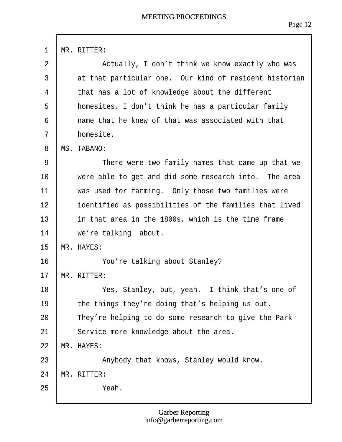<span id="page-12-0"></span>

| $\mathbf{1}$   | MR. RITTER:                                            |
|----------------|--------------------------------------------------------|
| $\overline{2}$ | Actually, I don't think we know exactly who was        |
| 3              | at that particular one. Our kind of resident historian |
| 4              | that has a lot of knowledge about the different        |
| 5              | homesites, I don't think he has a particular family    |
| 6              | name that he knew of that was associated with that     |
| $\overline{7}$ | homesite.                                              |
| 8              | MS. TABANO:                                            |
| 9              | There were two family names that came up that we       |
| 10             | were able to get and did some research into. The area  |
| 11             | was used for farming. Only those two families were     |
| 12             | identified as possibilities of the families that lived |
| 13             | in that area in the 1800s, which is the time frame     |
| 14             | we're talking about.                                   |
| 15             | <b>MR. HAYES:</b>                                      |
| 16             | You're talking about Stanley?                          |
| 17             | MR. RITTER:                                            |
| 18             | Yes, Stanley, but, yeah. I think that's one of         |
| 19             | the things they're doing that's helping us out.        |
| 20             | They're helping to do some research to give the Park   |
| 21             | Service more knowledge about the area.                 |
| 22             | <b>MR. HAYES:</b>                                      |
| 23             | Anybody that knows, Stanley would know.                |
| 24             | MR. RITTER:                                            |
| 25             | Yeah.                                                  |
|                |                                                        |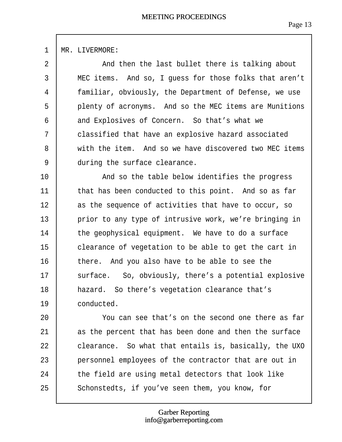<span id="page-13-0"></span>

| $\mathbf{1}$   | MR. LIVERMORE:                                         |
|----------------|--------------------------------------------------------|
| $\overline{2}$ | And then the last bullet there is talking about        |
| 3              | MEC items. And so, I guess for those folks that aren't |
| 4              | familiar, obviously, the Department of Defense, we use |
| 5              | plenty of acronyms. And so the MEC items are Munitions |
| 6              | and Explosives of Concern. So that's what we           |
| 7              | classified that have an explosive hazard associated    |
| 8              | with the item. And so we have discovered two MEC items |
| 9              | during the surface clearance.                          |
| 10             | And so the table below identifies the progress         |
| 11             | that has been conducted to this point. And so as far   |
| 12             | as the sequence of activities that have to occur, so   |
| 13             | prior to any type of intrusive work, we're bringing in |
| 14             | the geophysical equipment. We have to do a surface     |
| 15             | clearance of vegetation to be able to get the cart in  |
| 16             | there. And you also have to be able to see the         |
| 17             | surface. So, obviously, there's a potential explosive  |
| 18             | hazard. So there's vegetation clearance that's         |
| 19             | conducted.                                             |
| 20             | You can see that's on the second one there as far      |
| 21             | as the percent that has been done and then the surface |
| 22             | clearance. So what that entails is, basically, the UXO |
| 23             | personnel employees of the contractor that are out in  |
| 24             | the field are using metal detectors that look like     |
| 25             | Schonstedts, if you've seen them, you know, for        |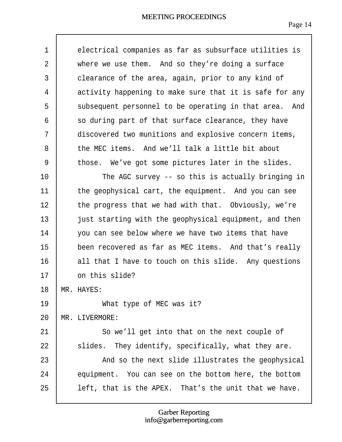<span id="page-14-0"></span>

| $\mathbf 1$    | electrical companies as far as subsurface utilities is  |
|----------------|---------------------------------------------------------|
| $\overline{2}$ | where we use them. And so they're doing a surface       |
| 3              | clearance of the area, again, prior to any kind of      |
| 4              | activity happening to make sure that it is safe for any |
| 5              | subsequent personnel to be operating in that area. And  |
| 6              | so during part of that surface clearance, they have     |
| $\overline{7}$ | discovered two munitions and explosive concern items,   |
| 8              | the MEC items. And we'll talk a little bit about        |
| 9              | those. We've got some pictures later in the slides.     |
| 10             | The AGC survey -- so this is actually bringing in       |
| 11             | the geophysical cart, the equipment. And you can see    |
| 12             | the progress that we had with that. Obviously, we're    |
| 13             | just starting with the geophysical equipment, and then  |
| 14             | you can see below where we have two items that have     |
| 15             | been recovered as far as MEC items. And that's really   |
| 16             | all that I have to touch on this slide. Any questions   |
| 17             | on this slide?                                          |
| 18             | <b>MR. HAYES:</b>                                       |
| 19             | What type of MEC was it?                                |
| 20             | MR. LIVERMORE:                                          |
| 21             | So we'll get into that on the next couple of            |
| 22             | slides. They identify, specifically, what they are.     |
| 23             | And so the next slide illustrates the geophysical       |
| 24             | equipment. You can see on the bottom here, the bottom   |
| 25             | left, that is the APEX. That's the unit that we have.   |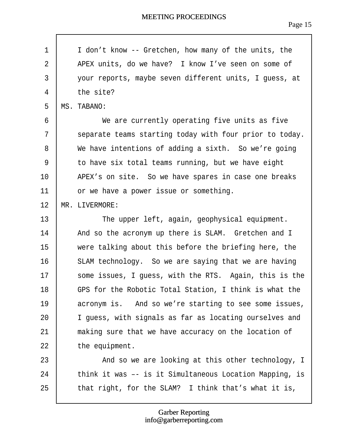<span id="page-15-0"></span>

| 1  | I don't know -- Gretchen, how many of the units, the    |
|----|---------------------------------------------------------|
| 2  | APEX units, do we have? I know I've seen on some of     |
| 3  | your reports, maybe seven different units, I guess, at  |
| 4  | the site?                                               |
| 5  | MS. TABANO:                                             |
| 6  | We are currently operating five units as five           |
| 7  | separate teams starting today with four prior to today. |
| 8  | We have intentions of adding a sixth. So we're going    |
| 9  | to have six total teams running, but we have eight      |
| 10 | APEX's on site. So we have spares in case one breaks    |
| 11 | or we have a power issue or something.                  |
| 12 | <b>MR. LIVERMORE:</b>                                   |
| 13 | The upper left, again, geophysical equipment.           |
| 14 | And so the acronym up there is SLAM. Gretchen and I     |
| 15 | were talking about this before the briefing here, the   |
| 16 | SLAM technology. So we are saying that we are having    |
| 17 | some issues, I guess, with the RTS. Again, this is the  |
| 18 | GPS for the Robotic Total Station, I think is what the  |
| 19 | acronym is. And so we're starting to see some issues,   |
| 20 | I guess, with signals as far as locating ourselves and  |
| 21 | making sure that we have accuracy on the location of    |
| 22 | the equipment.                                          |
| 23 | And so we are looking at this other technology, I       |
| 24 | think it was -- is it Simultaneous Location Mapping, is |
| 25 | that right, for the SLAM? I think that's what it is,    |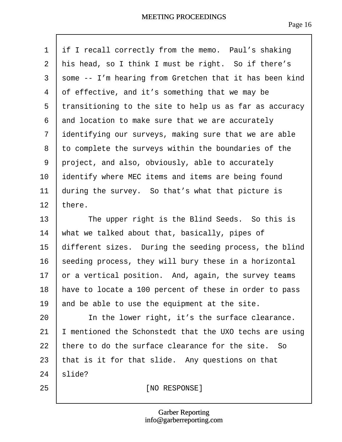<span id="page-16-0"></span>

| 1              | if I recall correctly from the memo. Paul's shaking     |
|----------------|---------------------------------------------------------|
| $\overline{2}$ | his head, so I think I must be right. So if there's     |
| 3              | spme -- I'm hearing from Gretchen that it has been kind |
| 4              | of effective, and it's something that we may be         |
| 5              | transitioning to the site to help us as far as accuracy |
| 6              | and location to make sure that we are accurately        |
| $\overline{7}$ | identifying our surveys, making sure that we are able   |
| 8              | to complete the surveys within the boundaries of the    |
| 9              | project, and also, obviously, able to accurately        |
| 10             | identify where MEC items and items are being found      |
| 11             | during the survey. So that's what that picture is       |
| 12             | there.                                                  |
| 13             | The upper right is the Blind Seeds. So this is          |
| 14             | what we talked about that, basically, pipes of          |
| 15             | different sizes. During the seeding process, the blind  |
| 16             | seeding process, they will bury these in a horizontal   |
| 17             | or a vertical position. And, again, the survey teams    |
| 18             | have to locate a 100 percent of these in order to pass  |
| 19             | and be able to use the equipment at the site.           |
| 20             | In the lower right, it's the surface clearance.         |
| 21             | I mentioned the Schonstedt that the UXO techs are using |
| 22             | there to do the surface clearance for the site. So      |
| 23             | that is it for that slide. Any questions on that        |
| 24             | \$lide?                                                 |
| 25             | [NO RESPONSE]                                           |

 $\lceil$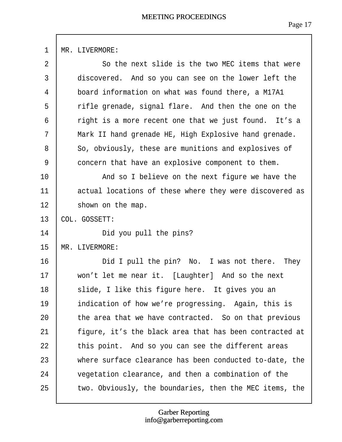<span id="page-17-0"></span>

| $\mathbf{1}$   | MR. LIVERMORE:                                          |
|----------------|---------------------------------------------------------|
| $\overline{2}$ | So the next slide is the two MEC items that were        |
| 3              | discovered. And so you can see on the lower left the    |
| 4              | board information on what was found there, a M17A1      |
| 5              | rifle grenade, signal flare. And then the one on the    |
| 6              | right is a more recent one that we just found. It's a   |
| $\overline{7}$ | Mark II hand grenade HE, High Explosive hand grenade.   |
| 8              | So, obviously, these are munitions and explosives of    |
| 9              | concern that have an explosive component to them.       |
| 10             | And so I believe on the next figure we have the         |
| 11             | actual locations of these where they were discovered as |
| 12             | shown on the map.                                       |
| 13             | <b>COL. GOSSETT:</b>                                    |
| 14             | Did you pull the pins?                                  |
| 15             | <b>MR. LIVERMORE:</b>                                   |
| 16             | Did I pull the pin? No. I was not there. They           |
| 17             | won't let me near it. [Laughter] And so the next        |
| 18             | slide, I like this figure here. It gives you an         |
| 19             | indication of how we're progressing. Again, this is     |
| 20             | the area that we have contracted. So on that previous   |
| 21             | figure, it's the black area that has been contracted at |
| 22             | this point. And so you can see the different areas      |
| 23             | where surface clearance has been conducted to-date, the |
| 24             | vegetation clearance, and then a combination of the     |
| 25             | two. Obviously, the boundaries, then the MEC items, the |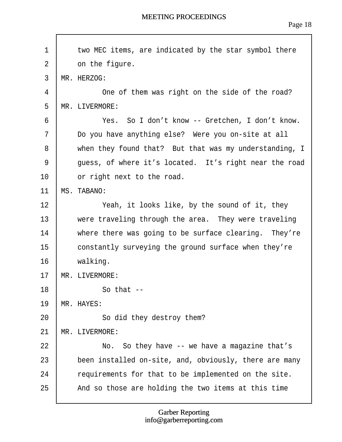<span id="page-18-0"></span>

| 1  | two MEC items, are indicated by the star symbol there  |
|----|--------------------------------------------------------|
| 2  | on the figure.                                         |
| 3  | MR. HERZOG:                                            |
| 4  | One of them was right on the side of the road?         |
| 5  | MR. LIVERMORE:                                         |
| 6  | Yes. So I don't know -- Gretchen, I don't know.        |
| 7  | Do you have anything else? Were you on-site at all     |
| 8  | when they found that? But that was my understanding, I |
| 9  | guess, of where it's located. It's right near the road |
| 10 | or right next to the road.                             |
| 11 | <b>MS. TABANO:</b>                                     |
| 12 | Yeah, it looks like, by the sound of it, they          |
| 13 | were traveling through the area. They were traveling   |
| 14 | where there was going to be surface clearing. They're  |
| 15 | constantly surveying the ground surface when they're   |
| 16 | walking.                                               |
| 17 | MR. LIVERMORE:                                         |
| 18 | So that --                                             |
| 19 | <b>MR. HAYES:</b>                                      |
| 20 | So did they destroy them?                              |
| 21 | <b>MR. LIVERMORE:</b>                                  |
| 22 | No. So they have -- we have a magazine that's          |
| 23 | been installed on-site, and, obviously, there are many |
| 24 | requirements for that to be implemented on the site.   |
| 25 | And so those are holding the two items at this time    |
|    |                                                        |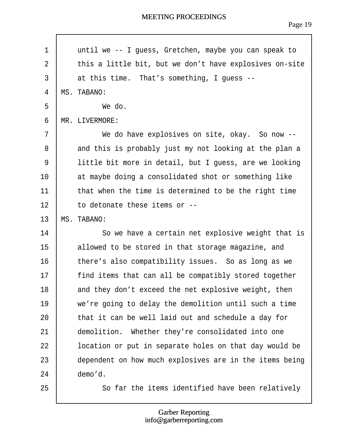<span id="page-19-0"></span>

| 1              | until we -- I guess, Gretchen, maybe you can speak to   |
|----------------|---------------------------------------------------------|
| 2              | this a little bit, but we don't have explosives on-site |
| 3              | at this time. That's something, I guess --              |
| $\overline{4}$ | MS. TABANO:                                             |
| 5              | We do.                                                  |
| 6              | MR. LIVERMORE:                                          |
| 7              | We do have explosives on site, okay. So now --          |
| 8              | and this is probably just my not looking at the plan a  |
| 9              | little bit more in detail, but I guess, are we looking  |
| 10             | at maybe doing a consolidated shot or something like    |
| 11             | that when the time is determined to be the right time   |
| 12             | to detonate these items or --                           |
| 13             | <b>MS. TABANO:</b>                                      |
| 14             | So we have a certain net explosive weight that is       |
| 15             | allowed to be stored in that storage magazine, and      |
| 16             | there's also compatibility issues. So as long as we     |
| 17             | find items that can all be compatibly stored together   |
| 18             | and they don't exceed the net explosive weight, then    |
| 19             | we're going to delay the demolition until such a time   |
| 20             | that it can be well laid out and schedule a day for     |
| 21             | demolition. Whether they're consolidated into one       |
| 22             | location or put in separate holes on that day would be  |
| 23             | dependent on how much explosives are in the items being |
| 24             | demo'd.                                                 |
| 25             | So far the items identified have been relatively        |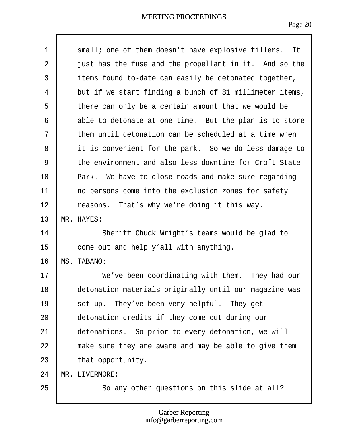<span id="page-20-0"></span>

| $\mathbf 1$    | small; one of them doesn't have explosive fillers. It   |
|----------------|---------------------------------------------------------|
| $\overline{2}$ | just has the fuse and the propellant in it. And so the  |
| $\mathfrak{S}$ | items found to-date can easily be detonated together,   |
| 4              | but if we start finding a bunch of 81 millimeter items, |
| 5              | there can only be a certain amount that we would be     |
| 6              | able to detonate at one time. But the plan is to store  |
| 7              | them until detonation can be scheduled at a time when   |
| 8              | it is convenient for the park. So we do less damage to  |
| 9              | the environment and also less downtime for Croft State  |
| 10             | Park. We have to close roads and make sure regarding    |
| 11             | no persons come into the exclusion zones for safety     |
| 12             | reasons. That's why we're doing it this way.            |
| 13             | MR. HAYES:                                              |
| 14             | Sheriff Chuck Wright's teams would be glad to           |
| 15             | come out and help y'all with anything.                  |
| 16             | <b>MS. TABANO:</b>                                      |
| 17             | We've been coordinating with them. They had our         |
| 18             | detonation materials originally until our magazine was  |
| 19             | set up. They've been very helpful. They get             |
| 20             | detonation credits if they come out during our          |
| 21             | detonations. So prior to every detonation, we will      |
| 22             | make sure they are aware and may be able to give them   |
| 23             | that opportunity.                                       |
| 24             | <b>MR. LIVERMORE:</b>                                   |
| 25             | So any other questions on this slide at all?            |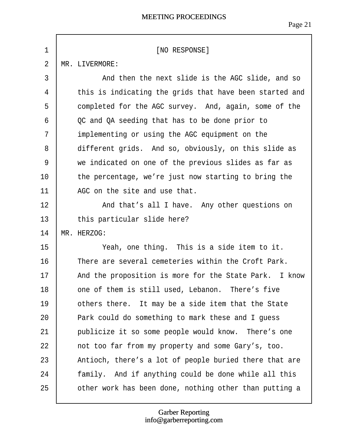<span id="page-21-0"></span>

| 1              | [NO RESPONSE]                                           |
|----------------|---------------------------------------------------------|
| $\overline{2}$ | MR. LIVERMORE:                                          |
| 3              | And then the next slide is the AGC slide, and so        |
| 4              | this is indicating the grids that have been started and |
| 5              | completed for the AGC survey. And, again, some of the   |
| 6              | QC and QA seeding that has to be done prior to          |
| $\overline{7}$ | implementing or using the AGC equipment on the          |
| 8              | different grids. And so, obviously, on this slide as    |
| 9              | we indicated on one of the previous slides as far as    |
| 10             | the percentage, we're just now starting to bring the    |
| 11             | AGC on the site and use that.                           |
| 12             | And that's all I have. Any other questions on           |
| 13             | this particular slide here?                             |
| 14             | MR. HERZOG:                                             |
| 15             | Yeah, one thing. This is a side item to it.             |
| 16             | There are several cemeteries within the Croft Park.     |
| 17             | And the proposition is more for the State Park. I know  |
| 18             | one of them is still used, Lebanon. There's five        |
| 19             | others there. It may be a side item that the State      |
| 20             | Park could do something to mark these and I guess       |
| 21             | publicize it so some people would know. There's one     |
| 22             | not too far from my property and some Gary's, too.      |
| 23             | Antioch, there's a lot of people buried there that are  |
| 24             | family. And if anything could be done while all this    |
| 25             | other work has been done, nothing other than putting a  |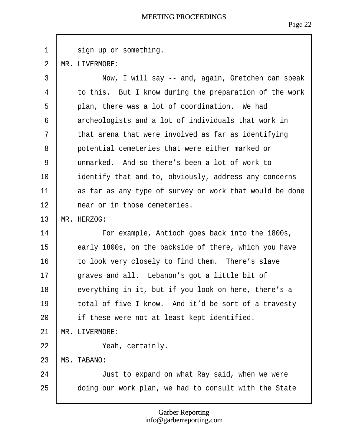<span id="page-22-0"></span> $1$  sign up or something.

2 MR. LIVERMORE:

| 3              | Now, I will say -- and, again, Gretchen can speak       |
|----------------|---------------------------------------------------------|
| 4              | to this. But I know during the preparation of the work  |
| 5              | plan, there was a lot of coordination. We had           |
| 6              | archeologists and a lot of individuals that work in     |
| $\overline{7}$ | that arena that were involved as far as identifying     |
| 8              | potential cemeteries that were either marked or         |
| 9              | unmarked. And so there's been a lot of work to          |
| 10             | identify that and to, obviously, address any concerns   |
| 11             | as far as any type of survey or work that would be done |
| 12             | near or in those cemeteries.                            |
| 13             | MR. HERZOG:                                             |
| 14             | For example, Antioch goes back into the 1800s,          |
| 15             | early 1800s, on the backside of there, which you have   |
| 16             | to look very closely to find them. There's slave        |
| 17             | graves and all. Lebanon's got a little bit of           |
| 18             | everything in it, but if you look on here, there's a    |
| 19             | total of five I know. And it'd be sort of a travesty    |
| 20             | if these were not at least kept identified.             |
| 21             | MR. LIVERMORE:                                          |
| 22             | Yeah, certainly.                                        |
| 23             | <b>MS. TABANO:</b>                                      |
| 24             | Just to expand on what Ray said, when we were           |
| 25             | doing our work plan, we had to consult with the State   |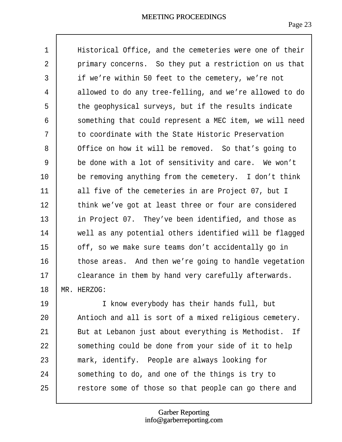<span id="page-23-0"></span>

| 1  | Historical Office, and the cemeteries were one of their |
|----|---------------------------------------------------------|
| 2  | primary concerns. So they put a restriction on us that  |
| 3  | if we're within 50 feet to the cemetery, we're not      |
| 4  | allowed to do any tree-felling, and we're allowed to do |
| 5  | the geophysical surveys, but if the results indicate    |
| 6  | something that could represent a MEC item, we will need |
| 7  | to coordinate with the State Historic Preservation      |
| 8  | Office on how it will be removed. So that's going to    |
| 9  | be done with a lot of sensitivity and care. We won't    |
| 10 | be removing anything from the cemetery. I don't think   |
| 11 | all five of the cemeteries in are Project 07, but I     |
| 12 | think we've got at least three or four are considered   |
| 13 | in Project 07. They've been identified, and those as    |
| 14 | well as any potential others identified will be flagged |
| 15 | off, so we make sure teams don't accidentally go in     |
| 16 | those areas. And then we're going to handle vegetation  |
| 17 | clearance in them by hand very carefully afterwards.    |
| 18 | MR. HERZOG:                                             |
| 19 | I know everybody has their hands full, but              |
| 20 | Antioch and all is sort of a mixed religious cemetery.  |
| 21 | But at Lebanon just about everything is Methodist. If   |
| 22 | something could be done from your side of it to help    |
| 23 | mark, identify. People are always looking for           |
| 24 | something to do, and one of the things is try to        |
| 25 | restore some of those so that people can go there and   |
|    |                                                         |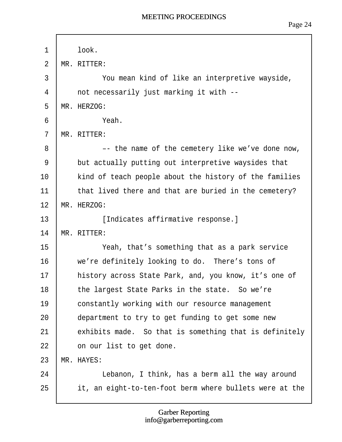<span id="page-24-0"></span>

| 1              | look.                                                   |
|----------------|---------------------------------------------------------|
| $\overline{2}$ | MR. RITTER:                                             |
| 3              | You mean kind of like an interpretive wayside,          |
| 4              | not necessarily just marking it with --                 |
| 5              | MR. HERZOG:                                             |
| 6              | Yeah.                                                   |
| $\overline{7}$ | MR. RITTER:                                             |
| 8              | -- the name of the cemetery like we've done now,        |
| 9              | but actually putting out interpretive waysides that     |
| 10             | kind of teach people about the history of the families  |
| 11             | that lived there and that are buried in the cemetery?   |
| 12             | MR. HERZOG:                                             |
| 13             | [Indicates affirmative response.]                       |
| 14             | MR. RITTER:                                             |
| 15             | Yeah, that's something that as a park service           |
| 16             | we're definitely looking to do. There's tons of         |
| 17             | history across State Park, and, you know, it's one of   |
| 18             | the largest State Parks in the state. So we're          |
| 19             | constantly working with our resource management         |
| 20             | department to try to get funding to get some new        |
| 21             | exhibits made. So that is something that is definitely  |
| 22             | on our list to get done.                                |
| 23             | <b>MR. HAYES:</b>                                       |
| 24             | Lebanon, I think, has a berm all the way around         |
| 25             | it, an eight-to-ten-foot berm where bullets were at the |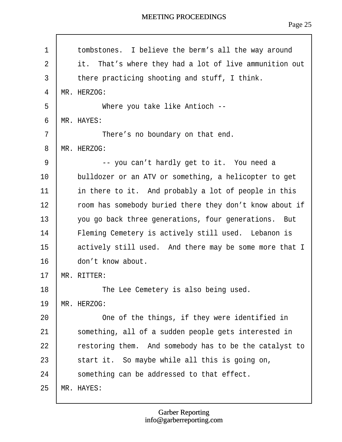Page 25

<span id="page-25-0"></span>

| 1              | tombstones. I believe the berm's all the way around     |
|----------------|---------------------------------------------------------|
| $\overline{2}$ | it. That's where they had a lot of live ammunition out  |
| 3              | there practicing shooting and stuff, I think.           |
| 4              | MR. HERZOG:                                             |
| 5              | Where you take like Antioch --                          |
| 6              | MR. HAYES:                                              |
| $\overline{7}$ | There's no boundary on that end.                        |
| 8              | MR. HERZOG:                                             |
| 9              | -- you can't hardly get to it. You need a               |
| 10             | bulldozer or an ATV or something, a helicopter to get   |
| 11             | in there to it. And probably a lot of people in this    |
| 12             | room has somebody buried there they don't know about if |
| 13             | you go back three generations, four generations. But    |
| 14             | Fleming Cemetery is actively still used. Lebanon is     |
| 15             | actively still used. And there may be some more that I  |
| 16             | don't know about.                                       |
| 17             | MR. RITTER:                                             |
| 18             | The Lee Cemetery is also being used.                    |
| 19             | MR. HERZOG:                                             |
| 20             | One of the things, if they were identified in           |
| 21             | something, all of a sudden people gets interested in    |
| 22             | restoring them. And somebody has to be the catalyst to  |
| 23             | start it. So maybe while all this is going on,          |
| 24             | something can be addressed to that effect.              |
| 25             | <b>MR. HAYES:</b>                                       |

Г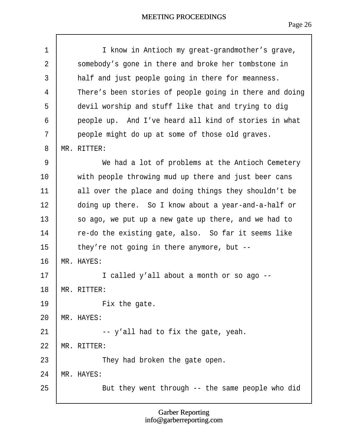<span id="page-26-0"></span>

| 1              | I know in Antioch my great-grandmother's grave,         |
|----------------|---------------------------------------------------------|
| $\overline{2}$ | somebody's gone in there and broke her tombstone in     |
| 3              | half and just people going in there for meanness.       |
| 4              | There's been stories of people going in there and doing |
| 5              | devil worship and stuff like that and trying to dig     |
| 6              | people up. And I've heard all kind of stories in what   |
| $\overline{7}$ | people might do up at some of those old graves.         |
| 8              | MR. RITTER:                                             |
| 9              | We had a lot of problems at the Antioch Cemetery        |
| 10             | with people throwing mud up there and just beer cans    |
| 11             | all over the place and doing things they shouldn't be   |
| 12             | doing up there. So I know about a year-and-a-half or    |
| 13             | so ago, we put up a new gate up there, and we had to    |
| 14             | re-do the existing gate, also. So far it seems like     |
| 15             | they're not going in there anymore, but --              |
| 16             | MR. HAYES:                                              |
| 17             | I called y'all about a month or so ago --               |
| 18             | MR. RITTER:                                             |
| 19             | Fix the gate.                                           |
| 20             | <b>MR. HAYES:</b>                                       |
| 21             | -- y'all had to fix the gate, yeah.                     |
| 22             | MR. RITTER:                                             |
| 23             | They had broken the gate open.                          |
| 24             | MR. HAYES:                                              |
| 25             | But they went through -- the same people who did        |
|                |                                                         |

 $\sqrt{ }$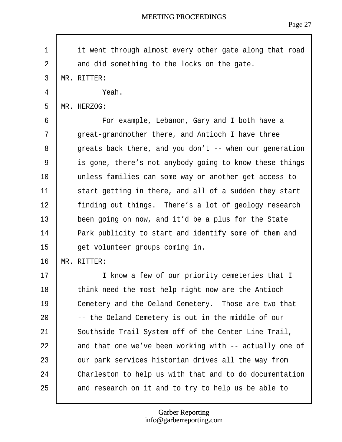Page 27

<span id="page-27-0"></span>

| it went through almost every other gate along that road |
|---------------------------------------------------------|
| and did something to the locks on the gate.             |
| MR. RITTER:                                             |
| Yeah.                                                   |
| MR. HERZOG:                                             |
| For example, Lebanon, Gary and I both have a            |
| great-grandmother there, and Antioch I have three       |
| greats back there, and you don't -- when our generation |
| is gone, there's not anybody going to know these things |
| unless families can some way or another get access to   |
| start getting in there, and all of a sudden they start  |
| finding out things. There's a lot of geology research   |
| been going on now, and it'd be a plus for the State     |
| Park publicity to start and identify some of them and   |
| get volunteer groups coming in.                         |
| MR. RITTER:                                             |
| I know a few of our priority cemeteries that I          |
| think need the most help right now are the Antioch      |
| Cemetery and the Oeland Cemetery. Those are two that    |
| -- the Oeland Cemetery is out in the middle of our      |
| Southside Trail System off of the Center Line Trail,    |
| and that one we've been working with -- actually one of |
| our park services historian drives all the way from     |
| Charleston to help us with that and to do documentation |
| and research on it and to try to help us be able to     |
|                                                         |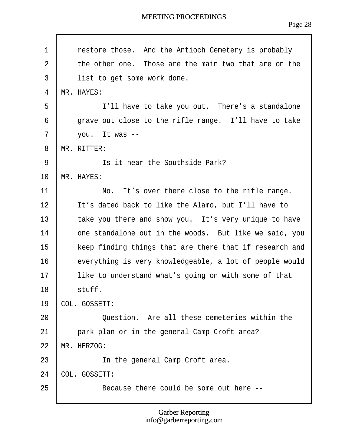<span id="page-28-0"></span>

| 1              | restore those. And the Antioch Cemetery is probably     |
|----------------|---------------------------------------------------------|
| $\overline{2}$ | the other one. Those are the main two that are on the   |
| 3              | list to get some work done.                             |
| $\overline{4}$ | MR. HAYES:                                              |
| 5              | I'll have to take you out. There's a standalone         |
| 6              | grave out close to the rifle range. I'll have to take   |
| 7              | you. It was --                                          |
| 8              | MR. RITTER:                                             |
| 9              | Is it near the Southside Park?                          |
| 10             | MR. HAYES:                                              |
| 11             | No. It's over there close to the rifle range.           |
| 12             | It's dated back to like the Alamo, but I'll have to     |
| 13             | take you there and show you. It's very unique to have   |
| 14             | one standalone out in the woods. But like we said, you  |
| 15             | keep finding things that are there that if research and |
| 16             | everything is very knowledgeable, a lot of people would |
| 17             | like to understand what's going on with some of that    |
| 18             | stuff.                                                  |
| 19             | ¢OL. GOSSETT:                                           |
| 20             | Question. Are all these cemeteries within the           |
| 21             | park plan or in the general Camp Croft area?            |
| 22             | MR. HERZOG:                                             |
| 23             | In the general Camp Croft area.                         |
| 24             | <b>COL. GOSSETT:</b>                                    |
| 25             | Because there could be some out here --                 |
|                |                                                         |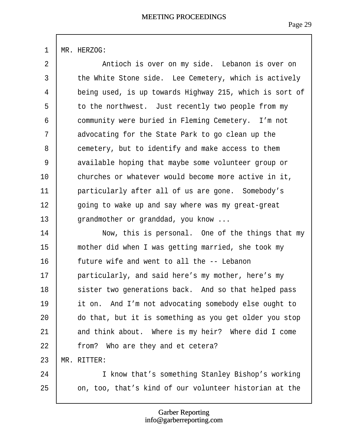# <span id="page-29-0"></span>1 MR. HERZOG:

| $\overline{2}$ | Antioch is over on my side. Lebanon is over on          |
|----------------|---------------------------------------------------------|
| 3              | the White Stone side. Lee Cemetery, which is actively   |
| $\overline{4}$ | being used, is up towards Highway 215, which is sort of |
| 5              | to the northwest. Just recently two people from my      |
| 6              | community were buried in Fleming Cemetery. I'm not      |
| $\overline{7}$ | advocating for the State Park to go clean up the        |
| 8              | cemetery, but to identify and make access to them       |
| 9              | available hoping that maybe some volunteer group or     |
| 10             | churches or whatever would become more active in it,    |
| 11             | particularly after all of us are gone. Somebody's       |
| 12             | going to wake up and say where was my great-great       |
| 13             | grandmother or granddad, you know                       |
| 14             | Now, this is personal. One of the things that my        |
| 15             | mother did when I was getting married, she took my      |
| 16             | future wife and went to all the -- Lebanon              |
| 17             | particularly, and said here's my mother, here's my      |
| 18             | sister two generations back. And so that helped pass    |
| 19             | it on. And I'm not advocating somebody else ought to    |
| 20             | do that, but it is something as you get older you stop  |
| 21             | and think about. Where is my heir? Where did I come     |
| 22             | from? Who are they and et cetera?                       |
| 23             | MR. RITTER:                                             |
| 24             | I know that's something Stanley Bishop's working        |
| 25             | on, too, that's kind of our volunteer historian at the  |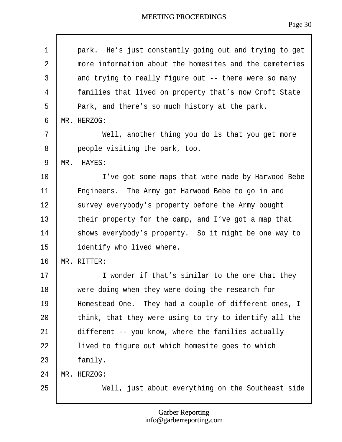<span id="page-30-0"></span>

| 1              | park. He's just constantly going out and trying to get  |
|----------------|---------------------------------------------------------|
| $\overline{2}$ | more information about the homesites and the cemeteries |
| 3              | and trying to really figure out -- there were so many   |
| 4              | families that lived on property that's now Croft State  |
| 5              | Park, and there's so much history at the park.          |
| 6              | MR. HERZOG:                                             |
| 7              | Well, another thing you do is that you get more         |
| 8              | people visiting the park, too.                          |
| 9              | MR. HAYES:                                              |
| 10             | I've got some maps that were made by Harwood Bebe       |
| 11             | Engineers. The Army got Harwood Bebe to go in and       |
| 12             | survey everybody's property before the Army bought      |
| 13             | their property for the camp, and I've got a map that    |
| 14             | shows everybody's property. So it might be one way to   |
| 15             | identify who lived where.                               |
| 16             | MR. RITTER:                                             |
| 17             | I wonder if that's similar to the one that they         |
| 18             | were doing when they were doing the research for        |
| 19             | Homestead One. They had a couple of different ones, I   |
| 20             | think, that they were using to try to identify all the  |
| 21             | different -- you know, where the families actually      |
| 22             | lived to figure out which homesite goes to which        |
| 23             | family.                                                 |
| 24             | MR. HERZOG:                                             |
| 25             | Well, just about everything on the Southeast side       |

 $\sqrt{ }$ 

#### Garber Reporting info@garberreporting.com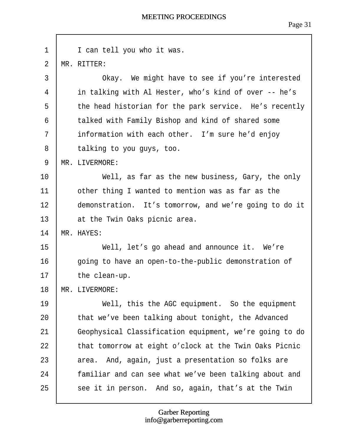<span id="page-31-0"></span>

| 1              | I can tell you who it was.                              |
|----------------|---------------------------------------------------------|
| $\overline{2}$ | MR. RITTER:                                             |
| 3              | Okay. We might have to see if you're interested         |
| 4              | in talking with Al Hester, who's kind of over -- he's   |
| 5              | the head historian for the park service. He's recently  |
| 6              | talked with Family Bishop and kind of shared some       |
| $\overline{7}$ | information with each other. I'm sure he'd enjoy        |
| 8              | talking to you guys, too.                               |
| 9              | MR. LIVERMORE:                                          |
| 10             | Well, as far as the new business, Gary, the only        |
| 11             | other thing I wanted to mention was as far as the       |
| 12             | demonstration. It's tomorrow, and we're going to do it  |
| 13             | at the Twin Oaks picnic area.                           |
| 14             | <b>MR. HAYES:</b>                                       |
| 15             | Well, let's go ahead and announce it. We're             |
| 16             | going to have an open-to-the-public demonstration of    |
| 17             | the clean-up.                                           |
| 18             | MR. LIVERMORE:                                          |
| 19             | Well, this the AGC equipment. So the equipment          |
| 20             | that we've been talking about tonight, the Advanced     |
| 21             | Geophysical Classification equipment, we're going to do |
| 22             | that tomorrow at eight o'clock at the Twin Oaks Picnic  |
| 23             | area. And, again, just a presentation so folks are      |
| 24             | familiar and can see what we've been talking about and  |
| 25             | see it in person. And so, again, that's at the Twin     |

 $\sqrt{ }$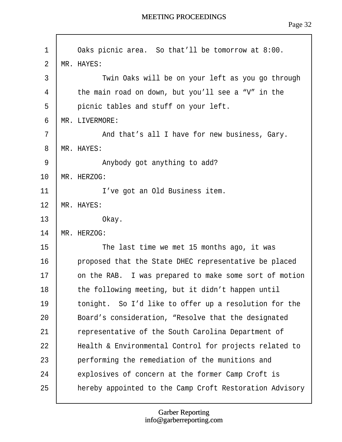<span id="page-32-0"></span>

| 1              | Oaks picnic area. So that'll be tomorrow at 8:00.       |
|----------------|---------------------------------------------------------|
| $\overline{2}$ | MR. HAYES:                                              |
| 3              | Twin Oaks will be on your left as you go through        |
| 4              | the main road on down, but you'll see a "V" in the      |
| 5              | picnic tables and stuff on your left.                   |
| 6              | MR. LIVERMORE:                                          |
| 7              | And that's all I have for new business, Gary.           |
| 8              | MR. HAYES:                                              |
| 9              | Anybody got anything to add?                            |
| 10             | MR. HERZOG:                                             |
| 11             | I've got an Old Business item.                          |
| 12             | <b>MR. HAYES:</b>                                       |
| 13             | Okay.                                                   |
| 14             | MR. HERZOG:                                             |
| 15             | The last time we met 15 months ago, it was              |
| 16             | proposed that the State DHEC representative be placed   |
| 17             | on the RAB. I was prepared to make some sort of motion  |
| 18             | the following meeting, but it didn't happen until       |
| 19             | tonight. So I'd like to offer up a resolution for the   |
| 20             | Board's consideration, "Resolve that the designated     |
| 21             | representative of the South Carolina Department of      |
| 22             | Health & Environmental Control for projects related to  |
| 23             | performing the remediation of the munitions and         |
| 24             | explosives of concern at the former Camp Croft is       |
| 25             | hereby appointed to the Camp Croft Restoration Advisory |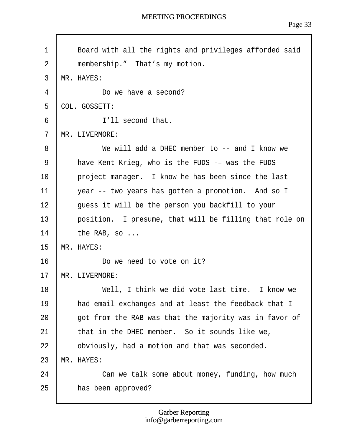<span id="page-33-0"></span>1 | Board with all the rights and privileges afforded said 2 | membership." That's my motion. 3 MR. HAYES: 4 **Do we have a second?** 5 CIOL. GOSSETT: 6 **I** I'll second that. 7 MR. LIVERMORE: 8 **b** We will add a DHEC member to -- and I know we 9 | have Kent Krieg, who is the FUDS -– was the FUDS 10 | project manager. I know he has been since the last 11  $\parallel$  year -- two years has gotten a promotion. And so I 12 | guess it will be the person you backfill to your 13 | position. I presume, that will be filling that role on 14  $\parallel$  the RAB, so ... 15 MR. HAYES: 16 **b** Do we need to vote on it? 17 MR. LIVERMORE: 18 **I** Well, I think we did vote last time. I know we 19 | had email exchanges and at least the feedback that I  $20$  | got from the RAB was that the majority was in favor of 21  $\parallel$  that in the DHEC member. So it sounds like we, 22 **b** obviously, had a motion and that was seconded. 23 MR. HAYES: 24 **Can we talk some about money, funding, how much**  $25$   $\parallel$  has been approved?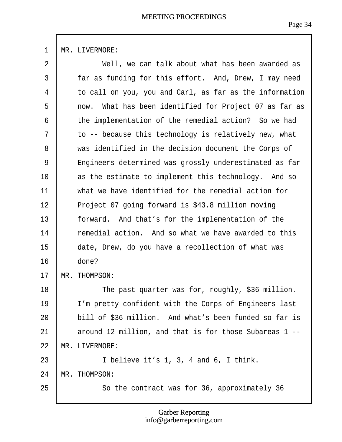<span id="page-34-0"></span>1 MR. LIVERMORE:

| $\overline{2}$ | Well, we can talk about what has been awarded as        |
|----------------|---------------------------------------------------------|
| 3              | far as funding for this effort. And, Drew, I may need   |
| 4              | to call on you, you and Carl, as far as the information |
| 5              | now. What has been identified for Project 07 as far as  |
| 6              | the implementation of the remedial action? So we had    |
| $\overline{7}$ | to -- because this technology is relatively new, what   |
| 8              | was identified in the decision document the Corps of    |
| 9              | Engineers determined was grossly underestimated as far  |
| 10             | as the estimate to implement this technology. And so    |
| 11             | what we have identified for the remedial action for     |
| 12             | Project 07 going forward is \$43.8 million moving       |
| 13             | forward. And that's for the implementation of the       |
| 14             | remedial action. And so what we have awarded to this    |
| 15             | date, Drew, do you have a recollection of what was      |
| 16             | done?                                                   |
| 17             | MR. THOMPSON:                                           |
| 18             | The past quarter was for, roughly, \$36 million.        |
| 19             | I'm pretty confident with the Corps of Engineers last   |
| 20             | bill of \$36 million. And what's been funded so far is  |
| 21             | around 12 million, and that is for those Subareas 1 --  |
| 22             | <b>MR. LIVERMORE:</b>                                   |
| 23             | I believe it's 1, 3, 4 and 6, I think.                  |
| 24             | <b>MR. THOMPSON:</b>                                    |
| 25             | So the contract was for 36, approximately 36            |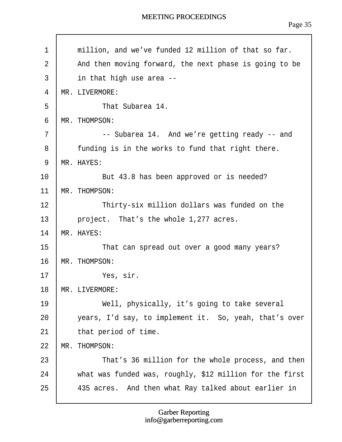<span id="page-35-0"></span>1  $\parallel$  million, and we've funded 12 million of that so far. 2 And then moving forward, the next phase is going to be  $3$  | in that high use area  $-$ 4 MR. LIVERMORE: 5 **b** That Subarea 14. 6 MR. THOMPSON: 7 | -- Subarea 14. And we're getting ready -- and  $8$  | funding is in the works to fund that right there. 9 MR. HAYES: 10 **But 43.8 has been approved or is needed?** 11 MR. THOMPSON: 12 **Filt** Thirty-six million dollars was funded on the 13  $\parallel$  project. That's the whole 1,277 acres. 14 MR. HAYES: 15 **I** That can spread out over a good many years? 16 MR. THOMPSON: 17· · · · · · ·Yes, sir. 18 MR. LIVERMORE: 19 | Well, physically, it's going to take several  $20$   $\parallel$  years, I'd say, to implement it. So, yeah, that's over 21  $\parallel$  that period of time. 22 MR. THOMPSON: 23 **Fig. 7** That's 36 million for the whole process, and then  $24$   $\parallel$  what was funded was, roughly, \$12 million for the first 25 | 435 acres. And then what Ray talked about earlier in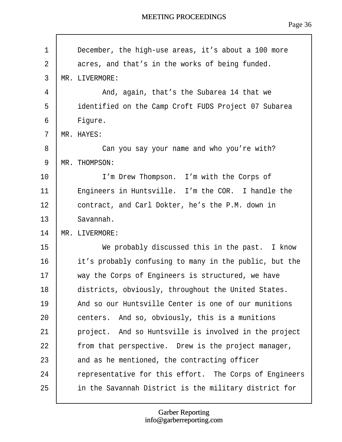<span id="page-36-0"></span>

| 1              | December, the high-use areas, it's about a 100 more    |
|----------------|--------------------------------------------------------|
| $\overline{2}$ | acres, and that's in the works of being funded.        |
| $\mathfrak{S}$ | MR. LIVERMORE:                                         |
| 4              | And, again, that's the Subarea 14 that we              |
| 5              | identified on the Camp Croft FUDS Project 07 Subarea   |
| 6              | Figure.                                                |
| $\overline{7}$ | MR. HAYES:                                             |
| 8              | Can you say your name and who you're with?             |
| 9              | MR. THOMPSON:                                          |
| 10             | I'm Drew Thompson. I'm with the Corps of               |
| 11             | Engineers in Huntsville. I'm the COR. I handle the     |
| 12             | contract, and Carl Dokter, he's the P.M. down in       |
| 13             | Savannah.                                              |
| 14             | <b>MR. LIVERMORE:</b>                                  |
| 15             | We probably discussed this in the past. I know         |
| 16             | it's probably confusing to many in the public, but the |
| 17             | way the Corps of Engineers is structured, we have      |
| 18             | districts, obviously, throughout the United States.    |
| 19             | And so our Huntsville Center is one of our munitions   |
| 20             | centers. And so, obviously, this is a munitions        |
| 21             | project. And so Huntsville is involved in the project  |
| 22             | from that perspective. Drew is the project manager,    |
| 23             | and as he mentioned, the contracting officer           |
| 24             | representative for this effort. The Corps of Engineers |
| 25             | in the Savannah District is the military district for  |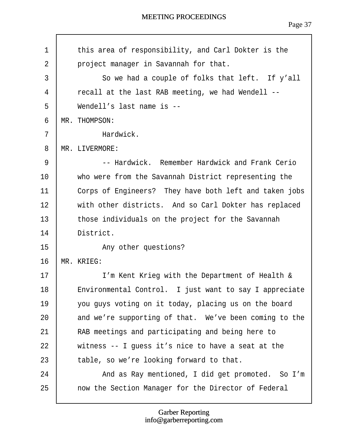<span id="page-37-0"></span>

| $\mathbf 1$    | this area of responsibility, and Carl Dokter is the    |  |
|----------------|--------------------------------------------------------|--|
| $\overline{2}$ | project manager in Savannah for that.                  |  |
| 3              | So we had a couple of folks that left. If y'all        |  |
| 4              | recall at the last RAB meeting, we had Wendell --      |  |
| 5              | Wendell's last name is --                              |  |
| 6              | MR. THOMPSON:                                          |  |
| 7              | Hardwick.                                              |  |
| 8              | MR. LIVERMORE:                                         |  |
| 9              | -- Hardwick. Remember Hardwick and Frank Cerio         |  |
| 10             | who were from the Savannah District representing the   |  |
| 11             | Corps of Engineers? They have both left and taken jobs |  |
| 12             | with other districts. And so Carl Dokter has replaced  |  |
| 13             | those individuals on the project for the Savannah      |  |
| 14             | District.                                              |  |
| 15             | Any other questions?                                   |  |
| 16             | MR. KRIEG:                                             |  |
| 17             | I'm Kent Krieg with the Department of Health &         |  |
| 18             | Environmental Control. I just want to say I appreciate |  |
| 19             | you guys voting on it today, placing us on the board   |  |
| 20             | and we're supporting of that. We've been coming to the |  |
| 21             | RAB meetings and participating and being here to       |  |
| 22             | witness -- I guess it's nice to have a seat at the     |  |
| 23             | table, so we're looking forward to that.               |  |
| 24             | And as Ray mentioned, I did get promoted. So I'm       |  |
| 25             | now the Section Manager for the Director of Federal    |  |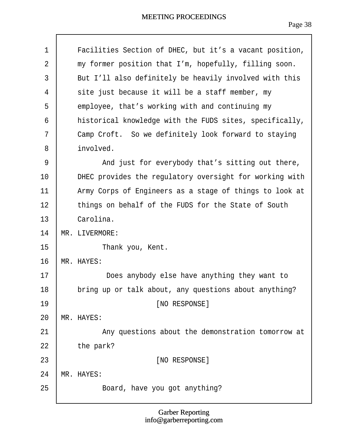<span id="page-38-0"></span>

| 1              | Facilities Section of DHEC, but it's a vacant position, |
|----------------|---------------------------------------------------------|
| $\overline{2}$ | my former position that I'm, hopefully, filling soon.   |
| 3              | But I'll also definitely be heavily involved with this  |
| 4              | site just because it will be a staff member, my         |
| 5              | employee, that's working with and continuing my         |
| 6              | historical knowledge with the FUDS sites, specifically, |
| $\overline{7}$ | Camp Croft. So we definitely look forward to staying    |
| 8              | involved.                                               |
| 9              | And just for everybody that's sitting out there,        |
| 10             | DHEC provides the regulatory oversight for working with |
| 11             | Army Corps of Engineers as a stage of things to look at |
| 12             | things on behalf of the FUDS for the State of South     |
| 13             | Carolina.                                               |
| 14             | <b>MR. LIVERMORE:</b>                                   |
| 15             | Thank you, Kent.                                        |
| 16             | MR. HAYES:                                              |
| 17             | Does anybody else have anything they want to            |
| 18             | bring up or talk about, any questions about anything?   |
| 19             | [NO RESPONSE]                                           |
| 20             | <b>MR. HAYES:</b>                                       |
| 21             | Any questions about the demonstration tomorrow at       |
| 22             | the park?                                               |
| 23             | [NO RESPONSE]                                           |
| 24             | <b>MR. HAYES:</b>                                       |
| 25             | Board, have you got anything?                           |
|                |                                                         |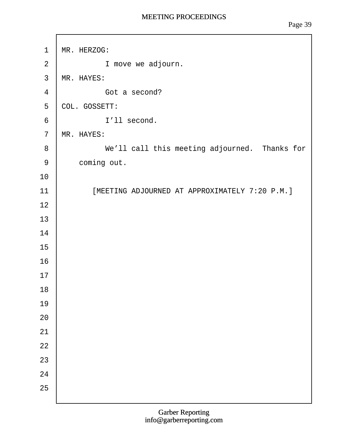<span id="page-39-0"></span>1 MR. HERZOG:  $2 \mid$  I move we adjourn. 3 MR. HAYES: 4 **Got a second?** 5 COL. GOSSETT: 6 | l'Il second. 7 MR. HAYES: 8 | We'll call this meeting adjourned. Thanks for 9 **coming out.** 10 11 | [MEETING ADJOURNED AT APPROXIMATELY 7:20 P.M.] 12 13 14 15 16 17 18 19 20 21 22 23 24 25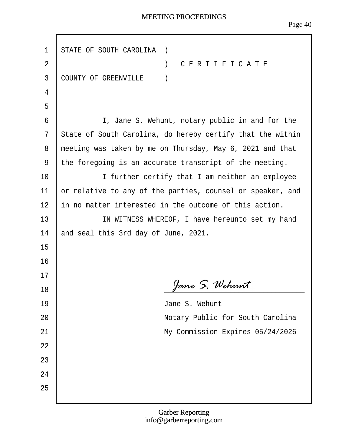г

| 1              | STATE OF SOUTH CAROLINA )                                  |
|----------------|------------------------------------------------------------|
| $\overline{2}$ | ) CERTIFICATE                                              |
|                |                                                            |
| 3              | <b>COUNTY OF GREENVILLE</b><br>$\rightarrow$               |
| 4              |                                                            |
| 5              |                                                            |
| 6              | I, Jane S. Wehunt, notary public in and for the            |
| 7              | State of South Carolina, do hereby certify that the within |
| 8              | meeting was taken by me on Thursday, May 6, 2021 and that  |
| 9              | the foregoing is an accurate transcript of the meeting.    |
| 10             | I further certify that I am neither an employee            |
| 11             | or relative to any of the parties, counsel or speaker, and |
| 12             | ih no matter interested in the outcome of this action.     |
| 13             | IN WITNESS WHEREOF, I have hereunto set my hand            |
| 14             | and seal this 3rd day of June, 2021.                       |
| 15             |                                                            |
| 16             |                                                            |
| 17             |                                                            |
| 18             |                                                            |
| 19             | Jane S. Wehunt                                             |
| 20             | Notary Public for South Carolina                           |
| 21             | My Commission Expires 05/24/2026                           |
| 22             |                                                            |
| 23             |                                                            |
| 24             |                                                            |
| 25             |                                                            |
|                |                                                            |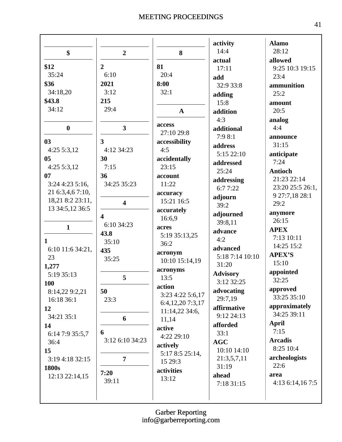|                   |                         |                     | activity                      | <b>Alamo</b>          |
|-------------------|-------------------------|---------------------|-------------------------------|-----------------------|
| \$                | $\overline{2}$          | 8                   | 14:4                          | 28:12                 |
|                   |                         |                     | actual                        | allowed               |
| \$12              | $\overline{2}$          | 81                  | 17:11                         | 9:25 10:3 19:15       |
| 35:24             | 6:10                    | 20:4                | add                           | 23:4                  |
| \$36              | 2021                    | 8:00                | 32:9 33:8                     | ammunition            |
| 34:18,20          | 3:12                    | 32:1                | adding                        | 25:2                  |
| \$43.8            | 215                     |                     | 15:8                          | amount                |
| 34:12             | 29:4                    | $\mathbf A$         | addition                      | 20:5                  |
|                   |                         |                     | 4:3                           | analog                |
| $\boldsymbol{0}$  | $\overline{\mathbf{3}}$ | access              | additional                    | 4:4                   |
|                   |                         | 27:10 29:8          | 7:98:1                        | announce              |
| 03                | $\overline{\mathbf{3}}$ | accessibility       | address                       | 31:15                 |
| 4:255:3,12        | 4:12 34:23              | 4:5                 | 5:15 22:10                    | anticipate            |
| 05                | 30                      | accidentally        | addressed                     | 7:24                  |
| 4:255:3,12        | 7:15                    | 23:15               | 25:24                         | <b>Antioch</b>        |
| 07                | 36                      | account             | addressing                    | 21:23 22:14           |
| $3:24$ 4:23 5:16, | 34:25 35:23             | 11:22               | 6:77:22                       | 23:20 25:5 26:1,      |
| 21 6:3,4,6 7:10,  |                         | accuracy            | adjourn                       | 9 27:7,18 28:1        |
| 18,21 8:2 23:11,  | $\overline{\mathbf{4}}$ | 15:21 16:5          | 39:2                          | 29:2                  |
| 13 34:5,12 36:5   |                         | accurately          | adjourned                     | anymore               |
|                   | $\overline{\mathbf{4}}$ | 16:6,9              | 39:8,11                       | 26:15                 |
| $\mathbf{1}$      | 6:10 34:23              | acres               | advance                       | <b>APEX</b>           |
|                   | 43.8                    | 5:19 35:13,25       | 4:2                           | 7:13 10:11            |
| $\mathbf 1$       | 35:10                   | 36:2                |                               | 14:25 15:2            |
| 6:10 11:6 34:21,  | 435                     | acronym             | advanced<br>5:18 7:14 10:10   | <b>APEX'S</b>         |
| 23                | 35:25                   | 10:10 15:14,19      | 31:20                         | 15:10                 |
| 1,277             |                         | acronyms            |                               | appointed             |
| 5:19 35:13        | 5                       | 13:5                | <b>Advisory</b><br>3:12 32:25 | 32:25                 |
| 100               |                         | action              |                               | approved              |
| 8:14,22 9:2,21    | 50                      | 3:23 4:22 5:6,17    | advocating                    | 33:25 35:10           |
| 16:18 36:1        | 23:3                    | 6:4, 12, 20 7:3, 17 | 29:7,19                       | approximately         |
| 12                |                         | 11:14,22 34:6,      | affirmative                   | 34:25 39:11           |
| 34:21 35:1        | 6                       | 11,14               | 9:12 24:13                    |                       |
| 14                | 6                       | active              | afforded                      | April<br>7:15         |
| 6:14 7:9 35:5,7   | 3:12 6:10 34:23         | 4:22 29:10          | 33:1                          | <b>Arcadis</b>        |
| 36:4              |                         | actively            | <b>AGC</b>                    | 8:25 10:4             |
| 15                |                         | 5:17 8:5 25:14,     | 10:10 14:10                   |                       |
| 3:19 4:18 32:15   | 7                       | 15 29:3             | 21:3,5,7,11                   | archeologists<br>22:6 |
| 1800s             | 7:20                    | activities          | 31:19                         |                       |
| 12:13 22:14,15    | 39:11                   | 13:12               | ahead                         | area                  |
|                   |                         |                     | 7:18 31:15                    | 4:13 6:14,16 7:5      |
|                   |                         |                     |                               |                       |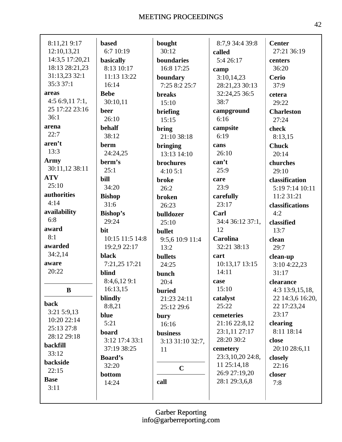| 8:11,21 9:17    | <b>based</b>    | bought           | 8:7,9 34:4 39:8             | <b>Center</b>          |
|-----------------|-----------------|------------------|-----------------------------|------------------------|
| 12:10,13,21     | 6:7 10:19       | 30:12            | called                      | 27:21 36:19            |
| 14:3,5 17:20,21 | basically       | boundaries       | 5:4 26:17                   | centers                |
| 18:13 28:21,23  | 8:13 10:17      | 16:8 17:25       |                             | 36:20                  |
| 31:13,23 32:1   | 11:13 13:22     |                  | camp                        |                        |
| 35:3 37:1       |                 | boundary         | 3:10,14,23                  | <b>Cerio</b>           |
|                 | 16:14           | 7:25 8:2 25:7    | 28:21,23 30:13              | 37:9                   |
| areas           | <b>Bebe</b>     | <b>breaks</b>    | 32:24,25 36:5               | cetera                 |
| 4:56:9,117:1,   | 30:10,11        | 15:10            | 38:7                        | 29:22                  |
| 25 17:22 23:16  | beer            | briefing         | campground                  | <b>Charleston</b>      |
| 36:1            | 26:10           | 15:15            | 6:16                        | 27:24                  |
| arena           | behalf          | bring            | campsite                    | check                  |
| 22:7            | 38:12           | 21:10 38:18      | 6:19                        | 8:13,15                |
| aren't          | berm            | bringing         | cans                        | <b>Chuck</b>           |
| 13:3            | 24:24,25        | 13:13 14:10      | 26:10                       | 20:14                  |
| <b>Army</b>     | berm's          | brochures        | can't                       | churches               |
| 30:11,12 38:11  | 25:1            | 4:105:1          | 25:9                        | 29:10                  |
| <b>ATV</b>      | bill            | <b>broke</b>     | care                        | classification         |
| 25:10           | 34:20           | 26:2             | 23:9                        | 5:19 7:14 10:11        |
| authorities     | <b>Bishop</b>   | broken           | carefully                   | 11:2 31:21             |
| 4:14            | 31:6            | 26:23            | 23:17                       | classifications        |
| availability    | Bishop's        | bulldozer        | Carl                        | 4:2                    |
| 6:8             | 29:24           | 25:10            | 34:4 36:12 37:1,            | classified             |
| award           | bit             | bullet           | 12                          | 13:7                   |
| 8:1             | 10:15 11:5 14:8 | 9:5,6 10:9 11:4  | <b>Carolina</b>             | clean                  |
| awarded         | 19:2,9 22:17    | 13:2             | 32:21 38:13                 | 29:7                   |
| 34:2,14         | black           | bullets          | cart                        | clean-up               |
| aware           | 7:21,25 17:21   | 24:25            | 10:13,17 13:15              | 3:10 4:22,23           |
| 20:22           | blind           | bunch            | 14:11                       | 31:17                  |
|                 | 8:4,6,129:1     | 20:4             | case                        | clearance              |
| $\bf{B}$        | 16:13,15        | <b>buried</b>    | 15:10                       | 4:3 13:9,15,18,        |
|                 | blindly         | 21:23 24:11      | catalyst                    | 22 14:3,6 16:20,       |
| back            | 8:8,21          | 25:12 29:6       | 25:22                       | 22 17:23,24            |
| 3:21 5:9,13     | blue            |                  | cemeteries                  | 23:17                  |
| 10:20 22:14     | 5:21            | bury             |                             |                        |
| 25:13 27:8      |                 | 16:16            | 21:16 22:8,12               | clearing<br>8:11 18:14 |
| 28:12 29:18     | board           | business         | 23:1,11 27:17<br>28:20 30:2 |                        |
| backfill        | 3:12 17:4 33:1  | 3:13 31:10 32:7, |                             | close                  |
| 33:12           | 37:19 38:25     | 11               | cemetery                    | 20:10 28:6,11          |
| backside        | <b>Board's</b>  |                  | 23:3,10,20 24:8,            | closely                |
| 22:15           | 32:20           | $\mathbf C$      | 11 25:14,18                 | 22:16                  |
| <b>Base</b>     | bottom          |                  | 26:9 27:19,20               | closer                 |
| 3:11            | 14:24           | call             | 28:1 29:3,6,8               | 7:8                    |
|                 |                 |                  |                             |                        |
|                 |                 |                  |                             |                        |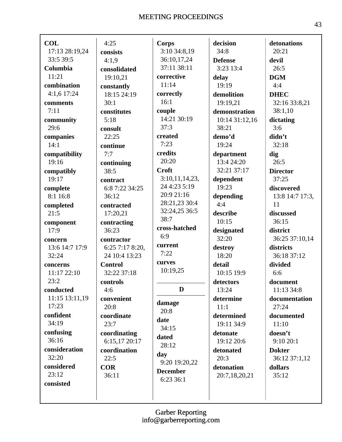Г

| <b>COL</b>              | 4:25                          | <b>Corps</b>                   | decision                 | detonations          |
|-------------------------|-------------------------------|--------------------------------|--------------------------|----------------------|
| 17:13 28:19,24          | consists                      | 3:10 34:8,19                   | 34:8                     | 20:21                |
| 33:5 39:5               | 4:1,9                         | 36:10,17,24                    | <b>Defense</b>           | devil                |
| Columbia                | consolidated                  | 37:11 38:11                    | $3:23$ 13:4              | 26:5                 |
| 11:21                   | 19:10,21                      | corrective                     | delay                    | <b>DGM</b>           |
| combination             | constantly                    | 11:14                          | 19:19                    | 4:4                  |
| 4:1,6 17:24             | 18:15 24:19                   | correctly                      | demolition               | <b>DHEC</b>          |
| comments                | 30:1                          | 16:1                           | 19:19,21                 | 32:16 33:8,21        |
| 7:11                    | constitutes                   | couple                         | demonstration            | 38:1,10              |
| community               | 5:18                          | 14:21 30:19                    | 10:14 31:12,16           | dictating            |
| 29:6                    | consult                       | 37:3                           | 38:21                    | 3:6                  |
| companies               | 22:25                         | created                        | demo'd                   | didn't               |
| 14:1                    | continue                      | 7:23                           | 19:24                    | 32:18                |
| compatibility           | 7:7                           | credits                        | department               | dig                  |
| 19:16                   | continuing                    | 20:20                          | 13:4 24:20               | 26:5                 |
| compatibly              | 38:5                          | <b>Croft</b>                   | 32:21 37:17              | <b>Director</b>      |
| 19:17                   | contract                      | 3:10,11,14,23,                 | dependent                | 37:25                |
| complete                | 6:8 7:22 34:25                | 24 4:23 5:19                   | 19:23                    | discovered           |
| 8:116:8                 | 36:12                         | 20:9 21:16                     | depending                | 13:8 14:7 17:3,      |
| completed               | contracted                    | 28:21,23 30:4<br>32:24,25 36:5 | 4:4                      | 11                   |
| 21:5                    | 17:20,21                      | 38:7                           | describe                 | discussed            |
| component               | contracting                   | cross-hatched                  | 10:15                    | 36:15                |
| 17:9                    | 36:23                         | 6:9                            | designated               | district             |
| concern                 | contractor                    | current                        | 32:20                    | 36:25 37:10,14       |
| 13:6 14:7 17:9          | 6:25 7:17 8:20,               | 7:22                           | destroy                  | districts            |
| 32:24                   | 24 10:4 13:23                 |                                | 18:20                    | 36:18 37:12          |
| concerns                | <b>Control</b>                | curves<br>10:19,25             | detail                   | divided              |
| 11:17 22:10             | 32:22 37:18                   |                                | 10:15 19:9               | 6:6                  |
| 23:2                    | controls                      | D                              | detectors                | document             |
| conducted               | 4:6                           |                                | 13:24                    | 11:13 34:8           |
| 11:15 13:11,19<br>17:23 | convenient                    | damage                         | determine                | documentation        |
|                         | 20:8                          | 20:8                           | 11:1                     | 27:24                |
| confident<br>34:19      | coordinate<br>23:7            | date                           | determined<br>19:11 34:9 | documented<br>11:10  |
| confusing               |                               | 34:15                          |                          |                      |
| 36:16                   | coordinating                  | dated                          | detonate<br>19:12 20:6   | doesn't<br>9:10 20:1 |
| consideration           | 6:15,17 20:17<br>coordination | 28:12                          |                          | <b>Dokter</b>        |
| 32:20                   | 22:5                          | day                            | detonated<br>20:3        | 36:12 37:1,12        |
| considered              | <b>COR</b>                    | 9:20 19:20,22                  | detonation               | dollars              |
| 23:12                   | 36:11                         | <b>December</b>                | 20:7,18,20,21            | 35:12                |
| consisted               |                               | 6:23 36:1                      |                          |                      |
|                         |                               |                                |                          |                      |
|                         |                               |                                |                          |                      |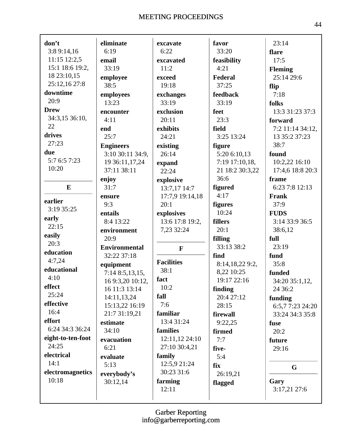| don't             | eliminate            | excavate          | favor           | 23:14            |
|-------------------|----------------------|-------------------|-----------------|------------------|
| 3:8 9:14,16       | 6:19                 | 6:22              | 33:20           | flare            |
| 11:15 12:2,5      | email                | excavated         | feasibility     | 17:5             |
| 15:1 18:6 19:2,   | 33:19                | 11:2              | 4:21            | <b>Fleming</b>   |
| 18 23:10,15       | employee             | exceed            | Federal         | 25:14 29:6       |
| 25:12,16 27:8     | 38:5                 | 19:18             | 37:25           | flip             |
| downtime          | employees            | exchanges         | feedback        | 7:18             |
| 20:9              | 13:23                | 33:19             | 33:19           | folks            |
| <b>Drew</b>       | encounter            | exclusion         | feet            | 13:3 31:23 37:3  |
| 34:3,15 36:10,    | 4:11                 | 20:11             | 23:3            | forward          |
| 22                | end                  | exhibits          | field           | 7:2 11:14 34:12, |
| drives            | 25:7                 | 24:21             | 3:25 13:24      | 13 35:2 37:23    |
| 27:23             | <b>Engineers</b>     | existing          | figure          | 38:7             |
| due               | 3:10 30:11 34:9,     | 26:14             | 5:20 6:10,13    | found            |
| 5:7 6:5 7:23      | 19 36:11,17,24       | expand            | 7:19 17:10,18,  | 10:2,22 16:10    |
| 10:20             | 37:11 38:11          | 22:24             | 21 18:2 30:3,22 | 17:4,6 18:8 20:3 |
|                   | enjoy                | explosive         | 36:6            | frame            |
| E                 | 31:7                 | 13:7,17 14:7      | figured         | 6:23 7:8 12:13   |
|                   | ensure               | 17:7,9 19:14,18   | 4:17            | Frank            |
| earlier           | 9:3                  | 20:1              | figures         | 37:9             |
| 3:19 35:25        | entails              | explosives        | 10:24           | <b>FUDS</b>      |
| early             | 8:4 13:22            | 13:6 17:8 19:2,   | fillers         | 3:14 33:9 36:5   |
| 22:15             | environment          | 7,23 32:24        | 20:1            | 38:6,12          |
| easily            | 20:9                 |                   | filling         | full             |
| 20:3              | <b>Environmental</b> | $\mathbf F$       | 33:13 38:2      | 23:19            |
| education         | 32:22 37:18          |                   | find            | fund             |
| 4:7,24            | equipment            | <b>Facilities</b> | 8:14,18,22 9:2, | 35:8             |
| educational       | 7:14 8:5,13,15,      | 38:1              | 8,22 10:25      | funded           |
| 4:10              | 16 9:3,20 10:12,     | fact              | 19:17 22:16     | 34:20 35:1,12,   |
| effect            | 16 11:3 13:14        | 10:2              | finding         | 24 36:2          |
| 25:24             | 14:11,13,24          | fall              | 20:4 27:12      | funding          |
| effective         | 15:13,22 16:19       | 7:6               | 28:15           | 6:5,7 7:23 24:20 |
| 16:4              | 21:7 31:19,21        | familiar          | firewall        | 33:24 34:3 35:8  |
| effort            | estimate             | 13:4 31:24        | 9:22,25         | fuse             |
| 6:24 34:3 36:24   | 34:10                | families          | firmed          | 20:2             |
| eight-to-ten-foot | evacuation           | 12:11,12 24:10    | 7:7             | future           |
| 24:25             | 6:21                 | 27:10 30:4,21     | five-           | 29:16            |
| electrical        | evaluate             | family            | 5:4             |                  |
| 14:1              | 5:13                 | 12:5,9 21:24      | fix             | G                |
| electromagnetics  | everybody's          | 30:23 31:6        | 26:19,21        |                  |
| 10:18             | 30:12,14             | farming           | flagged         | Gary             |
|                   |                      | 12:11             |                 | 3:17,21 27:6     |
|                   |                      |                   |                 |                  |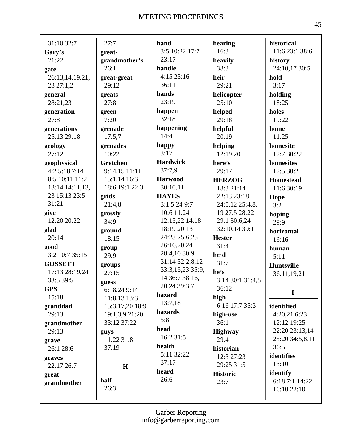| 31:10 32:7      | 27:7            | hand             | hearing          | historical       |
|-----------------|-----------------|------------------|------------------|------------------|
| Gary's          | great-          | 3:5 10:22 17:7   | 16:3             | 11:6 23:1 38:6   |
| 21:22           | grandmother's   | 23:17            | heavily          | history          |
| gate            | 26:1            | handle           | 38:3             | 24:10,17 30:5    |
| 26:13,14,19,21, | great-great     | 4:1523:16        | heir             | hold             |
| 23 27:1,2       | 29:12           | 36:11            | 29:21            | 3:17             |
| general         | greats          | hands            | helicopter       | holding          |
| 28:21,23        | 27:8            | 23:19            | 25:10            | 18:25            |
| generation      | green           | happen           | helped           | holes            |
| 27:8            | 7:20            | 32:18            | 29:18            | 19:22            |
| generations     | grenade         | happening        | helpful          | home             |
| 25:13 29:18     | 17:5,7          | 14:4             | 20:19            | 11:25            |
| geology         | grenades        | happy            | helping          | homesite         |
| 27:12           | 10:22           | 3:17             | 12:19,20         | 12:7 30:22       |
| geophysical     | Gretchen        | <b>Hardwick</b>  | here's           | homesites        |
| 4:2 5:18 7:14   | 9:14,15 11:11   | 37:7,9           | 29:17            | 12:5 30:2        |
| 8:5 10:11 11:2  | 15:1,14 16:3    | <b>Harwood</b>   | <b>HERZOG</b>    | <b>Homestead</b> |
| 13:14 14:11,13, | 18:6 19:1 22:3  | 30:10,11         | 18:3 21:14       | 11:6 30:19       |
| 23 15:13 23:5   | grids           | <b>HAYES</b>     | 22:13 23:18      | Hope             |
| 31:21           | 21:4,8          | 3:1 5:24 9:7     | 24:5,12 25:4,8,  | 3:2              |
| give            | grossly         | 10:6 11:24       | 19 27:5 28:22    | hoping           |
| 12:20 20:22     | 34:9            | 12:15,22 14:18   | 29:1 30:6,24     | 29:9             |
| glad            | ground          | 18:19 20:13      | 32:10,14 39:1    | horizontal       |
| 20:14           | 18:15           | 24:23 25:6,25    | <b>Hester</b>    | 16:16            |
| good            | group           | 26:16,20,24      | 31:4             | human            |
| 3:2 10:7 35:15  | 29:9            | 28:4,10 30:9     | he'd             | 5:11             |
| <b>GOSSETT</b>  | groups          | 31:14 32:2,8,12  | 31:7             | Huntsville       |
| 17:13 28:19,24  | 27:15           | 33:3,15,23 35:9, | he's             | 36:11,19,21      |
| 33:5 39:5       | guess           | 14 36:7 38:16,   | 3:14 30:1 31:4,5 |                  |
| <b>GPS</b>      | 6:18,24 9:14    | 20,24 39:3,7     | 36:12            | $\mathbf I$      |
| 15:18           | 11:8,13 13:3    | hazard           | high             |                  |
| granddad        | 15:3,17,20 18:9 | 13:7,18          | 6:16 17:7 35:3   | identified       |
| 29:13           | 19:1,3,9 21:20  | hazards          | high-use         | 4:20,21 6:23     |
| grandmother     | 33:12 37:22     | 5:8              | 36:1             | 12:12 19:25      |
| 29:13           | guys            | head             | <b>Highway</b>   | 22:20 23:13,14   |
| grave           | 11:22 31:8      | 16:2 31:5        | 29:4             | 25:20 34:5,8,11  |
| 26:1 28:6       | 37:19           | health           | historian        | 36:5             |
| graves          |                 | 5:11 32:22       | 12:3 27:23       | identifies       |
| 22:17 26:7      | H               | 37:17            | 29:25 31:5       | 13:10            |
| great-          |                 | heard            | <b>Historic</b>  | identify         |
| grandmother     | half            | 26:6             | 23:7             | 6:18 7:1 14:22   |
|                 | 26:3            |                  |                  | 16:10 22:10      |
|                 |                 |                  |                  |                  |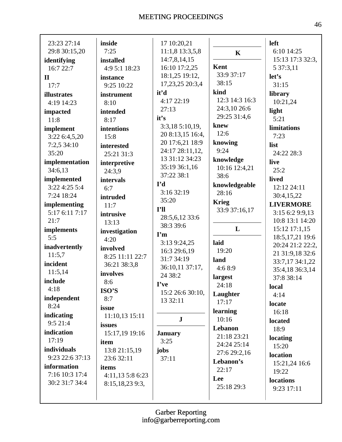| 23:23 27:14     | inside           | 17 10:20,21                |                | left              |
|-----------------|------------------|----------------------------|----------------|-------------------|
| 29:8 30:15,20   | 7:25             | 11:1,8 13:3,5,8            | $\mathbf K$    | 6:10 14:25        |
| identifying     | installed        | 14:7,8,14,15               |                | 15:13 17:3 32:3,  |
| 16:7 22:7       | 4:9 5:1 18:23    | 16:10 17:2,25              | Kent           | 5 37:3,11         |
| $\mathbf{I}$    | instance         | 18:1,25 19:12,             | 33:9 37:17     | let's             |
| 17:7            | 9:25 10:22       | 17,23,25 20:3,4            | 38:15          | 31:15             |
| illustrates     | instrument       | it'd                       | kind           | library           |
| 4:19 14:23      | 8:10             | 4:17 22:19                 | 12:3 14:3 16:3 | 10:21,24          |
| impacted        | intended         | 27:13                      | 24:3,10 26:6   | light             |
| 11:8            | 8:17             | it's                       | 29:25 31:4,6   | 5:21              |
| implement       | intentions       | 3:3,18 5:10,19,            | knew           | limitations       |
| 3:22 6:4,5,20   | 15:8             | 20 8:13,15 16:4,           | 12:6           | 7:23              |
| 7:2,5 34:10     | interested       | 20 17:6,21 18:9            | knowing        | list              |
| 35:20           | 25:21 31:3       | 24:17 28:11,12,            | 9:24           | 24:22 28:3        |
| implementation  | interpretive     | 13 31:12 34:23             | knowledge      | live              |
| 34:6,13         | 24:3,9           | 35:19 36:1,16              | 10:16 12:4,21  | 25:2              |
| implemented     | intervals        | 37:22 38:1                 | 38:6           | lived             |
| 3:22 4:25 5:4   | 6:7              | I'd                        | knowledgeable  | 12:12 24:11       |
| 7:24 18:24      | intruded         | 3:16 32:19                 | 28:16          | 30:4,15,22        |
| implementing    | 11:7             | 35:20                      | <b>Krieg</b>   | <b>LIVERMORE</b>  |
| 5:17 6:11 7:17  | intrusive        | I'll                       | 33:9 37:16,17  | 3:15 6:2 9:9,13   |
| 21:7            | 13:13            | 28:5,6,12 33:6             |                | 10:8 13:1 14:20   |
| implements      | investigation    | 38:3 39:6                  | L              | 15:12 17:1,15     |
| 5:5             | 4:20             | $\mathbf{I}'\mathbf{m}$    |                | 18:5, 17, 21 19:6 |
| inadvertently   | involved         | 3:13 9:24,25               | laid           | 20:24 21:2 22:2,  |
| 11:5,7          | 8:25 11:11 22:7  | 16:3 29:6,19               | 19:20          | 21 31:9,18 32:6   |
| incident        | 36:21 38:3,8     | 31:7 34:19                 | land           | 33:7,17 34:1,22   |
| 11:5,14         | involves         | 36:10,11 37:17,<br>24 38:2 | 4:68:9         | 35:4,18 36:3,14   |
| include         | 8:6              | I've                       | largest        | 37:8 38:14        |
| 4:18            | ISO'S            | 15:2 26:6 30:10,           | 24:18          | local             |
| independent     | 8:7              | 13 32:11                   | Laughter       | 4:14              |
| 8:24            | issue            |                            | 17:17          | locate            |
| indicating      | 11:10,13 15:11   |                            | learning       | 16:18             |
| 9:5 21:4        | issues           | ${\bf J}$                  | 10:16          | located           |
| indication      | 15:17,19 19:16   | <b>January</b>             | Lebanon        | 18:9              |
| 17:19           | item             | 3:25                       | 21:18 23:21    | locating          |
| individuals     | 13:8 21:15,19    | jobs                       | 24:24 25:14    | 15:20             |
| 9:23 22:6 37:13 | 23:6 32:11       | 37:11                      | 27:6 29:2,16   | location          |
| information     | items            |                            | Lebanon's      | 15:21,24 16:6     |
| 7:16 10:3 17:4  | 4:11,13 5:8 6:23 |                            | 22:17          | 19:22             |
| 30:2 31:7 34:4  | 8:15,18,23 9:3,  |                            | Lee            | locations         |
|                 |                  |                            | 25:18 29:3     | 9:23 17:11        |
|                 |                  |                            |                |                   |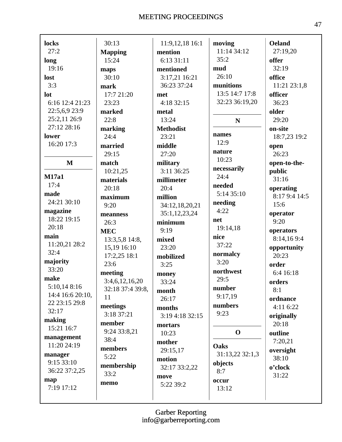I

| locks            | 30:13            | 11:9,12,18 16:1  | moving          | <b>Oeland</b> |
|------------------|------------------|------------------|-----------------|---------------|
| 27:2             | <b>Mapping</b>   | mention          | 11:14 34:12     | 27:19,20      |
| long             | 15:24            | 6:13 31:11       | 35:2            | offer         |
| 19:16            | maps             | mentioned        | mud             | 32:19         |
| lost             | 30:10            | 3:17,21 16:21    | 26:10           | office        |
| 3:3              | mark             | 36:23 37:24      | munitions       | 11:21 23:1,8  |
| lot              | 17:7 21:20       | met              | 13:5 14:7 17:8  | officer       |
| 6:16 12:4 21:23  | 23:23            | 4:18 32:15       | 32:23 36:19,20  | 36:23         |
| 22:5,6,9 23:9    | marked           | metal            |                 | older         |
| 25:2,11 26:9     | 22:8             | 13:24            | $\mathbf N$     | 29:20         |
| 27:12 28:16      | marking          | <b>Methodist</b> |                 | on-site       |
| lower            | 24:4             | 23:21            | names           | 18:7,23 19:2  |
| 16:20 17:3       | married          | middle           | 12:9            | open          |
|                  | 29:15            | 27:20            | nature          | 26:23         |
| $\mathbf M$      | match            | military         | 10:23           | open-to-the-  |
|                  | 10:21,25         | 3:11 36:25       | necessarily     | public        |
| <b>M17a1</b>     | materials        | millimeter       | 24:4            | 31:16         |
| 17:4             | 20:18            | 20:4             | needed          | operating     |
| made             | maximum          | million          | 5:14 35:10      | 8:17 9:4 14:5 |
| 24:21 30:10      | 9:20             | 34:12,18,20,21   | needing         | 15:6          |
| magazine         | meanness         | 35:1,12,23,24    | 4:22            | operator      |
| 18:22 19:15      | 26:3             | minimum          | net             | 9:20          |
| 20:18            | <b>MEC</b>       | 9:19             | 19:14,18        | operators     |
| main             | 13:3,5,8 14:8,   | mixed            | nice            | 8:14,169:4    |
| 11:20,21 28:2    | 15,19 16:10      | 23:20            | 37:22           | opportunity   |
| 32:4             | 17:2,25 18:1     | mobilized        | normalcy        | 20:23         |
| majority         | 23:6             | 3:25             | 3:20            | order         |
| 33:20            | meeting          | money            | northwest       | 6:4 16:18     |
| make             | 3:4,6,12,16,20   | 33:24            | 29:5            | orders        |
| 5:10,14 8:16     | 32:18 37:4 39:8, | month            | number          | 8:1           |
| 14:4 16:6 20:10, | 11               | 26:17            | 9:17,19         | ordnance      |
| 22 23:15 29:8    | meetings         | months           | numbers         | 4:11 6:22     |
| 32:17            | 3:18 37:21       | 3:19 4:18 32:15  | 9:23            | originally    |
| making           | member           | mortars          |                 | 20:18         |
| 15:21 16:7       | 9:24 33:8,21     | 10:23            | $\mathbf 0$     | outline       |
| management       | 38:4             | mother           |                 | 7:20,21       |
| 11:20 24:19      | members          | 29:15,17         | Oaks            | oversight     |
| manager          | 5:22             | motion           | 31:13,22 32:1,3 | 38:10         |
| 9:15 33:10       | membership       | 32:17 33:2,22    | objects         | o'clock       |
| 36:22 37:2,25    | 33:2             | move             | 8:7             | 31:22         |
| map              | memo             | 5:22 39:2        | occur           |               |
| 7:19 17:12       |                  |                  | 13:12           |               |
|                  |                  |                  |                 |               |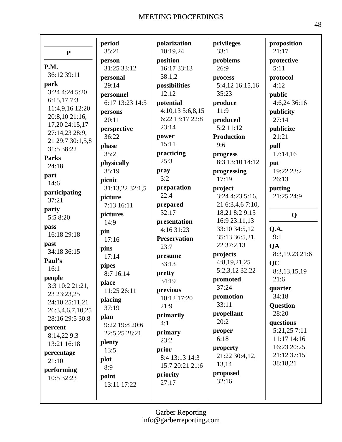|                  | period          | polarization        | privileges                 | proposition     |
|------------------|-----------------|---------------------|----------------------------|-----------------|
| ${\bf P}$        | 35:21           | 10:19,24            | 33:1                       | 21:17           |
|                  | person          | position            | problems                   | protective      |
| P.M.             | 31:25 33:12     | 16:17 33:13         | 26:9                       | 5:11            |
| 36:12 39:11      | personal        | 38:1,2              | process                    | protocol        |
| park             | 29:14           | possibilities       | 5:4,12 16:15,16            | 4:12            |
| 3:24 4:24 5:20   | personnel       | 12:12               | 35:23                      | public          |
| 6:15,177:3       | 6:17 13:23 14:5 | potential           | produce                    | 4:6,24 36:16    |
| 11:4,9,16 12:20  | persons         | 4:10,135:6,8,15     | 11:9                       | publicity       |
| 20:8,10 21:16,   | 20:11           | 6:22 13:17 22:8     | produced                   | 27:14           |
| 17,20 24:15,17   | perspective     | 23:14               | 5:2 11:12                  | publicize       |
| 27:14,23 28:9,   | 36:22           | power               | <b>Production</b>          | 21:21           |
| 21 29:7 30:1,5,8 | phase           | 15:11               | 9:6                        | pull            |
| 31:5 38:22       | 35:2            | practicing          | progress                   | 17:14,16        |
| <b>Parks</b>     | physically      | 25:3                | 8:3 13:10 14:12            | put             |
| 24:18            | 35:19           | pray                | progressing                | 19:22 23:2      |
| part             | picnic          | 3:2                 | 17:19                      | 26:13           |
| 14:6             | 31:13,22 32:1,5 | preparation         | project                    | putting         |
| participating    | picture         | 22:4                | 3:24 4:23 5:16,            | 21:25 24:9      |
| 37:21            | 7:13 16:11      | prepared            | 21 6:3,4,6 7:10,           |                 |
| party            | pictures        | 32:17               | 18,21 8:2 9:15             |                 |
| 5:5 8:20         | 14:9            | presentation        | 16:9 23:11,13              | Q               |
| pass             |                 | 4:16 31:23          | 33:10 34:5,12              | Q.A.            |
| 16:18 29:18      | pin             | <b>Preservation</b> | 35:13 36:5,21,             | 9:1             |
| past             | 17:16           | 23:7                | 22 37:2,13                 | QA              |
| 34:18 36:15      | pins            |                     | projects                   | 8:3,19,23 21:6  |
| Paul's           | 17:14           | presume<br>33:13    | 4:8,19,21,25               | QC              |
| 16:1             | pipes           |                     | 5:2,3,12 32:22             | 8:3,13,15,19    |
| people           | 8:7 16:14       | pretty<br>34:19     | promoted                   | 21:6            |
| 3:3 10:2 21:21,  | place           |                     | 37:24                      | quarter         |
| 23 23:23,25      | 11:25 26:11     | previous            | promotion                  | 34:18           |
| 24:10 25:11,21   | placing         | 10:12 17:20         | 33:11                      | <b>Question</b> |
| 26:3,4,6,7,10,25 | 37:19           | 21:9                | propellant                 | 28:20           |
| 28:16 29:5 30:8  | plan            | primarily           | 20:2                       | questions       |
| percent          | 9:22 19:8 20:6  | 4:1                 |                            | 5:21,25 7:11    |
| 8:14,22 9:3      | 22:5,25 28:21   | primary             | proper<br>6:18             | 11:17 14:16     |
| 13:21 16:18      | plenty          | 23:2                |                            | 16:23 20:25     |
| percentage       | 13:5            | prior               | property<br>21:22 30:4,12, | 21:12 37:15     |
| 21:10            | plot            | 8:4 13:13 14:3      | 13,14                      | 38:18,21        |
| performing       | 8:9             | 15:7 20:21 21:6     |                            |                 |
| 10:5 32:23       | point           | priority            | proposed<br>32:16          |                 |
|                  | 13:11 17:22     | 27:17               |                            |                 |
|                  |                 |                     |                            |                 |
|                  |                 |                     |                            |                 |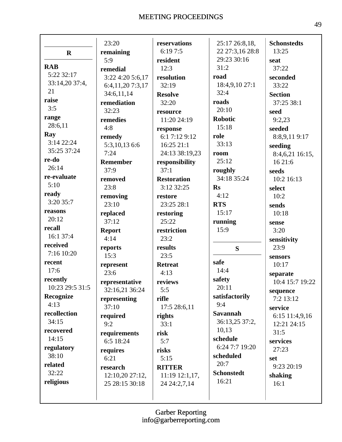Г

|                 | 23:20            | reservations       | 25:17 26:8,18,    | <b>Schonstedts</b> |
|-----------------|------------------|--------------------|-------------------|--------------------|
| $\mathbf R$     | remaining        | 6:197:5            | 22 27:3,16 28:8   | 13:25              |
|                 | 5:9              | resident           | 29:23 30:16       | seat               |
| <b>RAB</b>      | remedial         | 12:3               | 31:2              | 37:22              |
| 5:22 32:17      | 3:22 4:20 5:6,17 | resolution         | road              | seconded           |
| 33:14,20 37:4,  | 6:4,11,20 7:3,17 | 32:19              | 18:4,9,10 27:1    | 33:22              |
| 21              | 34:6,11,14       | <b>Resolve</b>     | 32:4              | <b>Section</b>     |
| raise           | remediation      | 32:20              | roads             | 37:25 38:1         |
| 3:5             | 32:23            | resource           | 20:10             | seed               |
| range           | remedies         | 11:20 24:19        | <b>Robotic</b>    | 9:2,23             |
| 28:6,11         | 4:8              | response           | 15:18             | seeded             |
| Ray             | remedy           | 6:1 7:12 9:12      | role              | 8:8,9,119:17       |
| 3:14 22:24      | 5:3,10,13 6:6    | 16:25 21:1         | 33:13             | seeding            |
| 35:25 37:24     | 7:24             | 24:13 38:19,23     | room              | 8:4,6,21 16:15,    |
| re-do           | Remember         | responsibility     | 25:12             | 16 21:6            |
| 26:14           | 37:9             | 37:1               | roughly           | seeds              |
| re-evaluate     | removed          | <b>Restoration</b> | 34:18 35:24       | 10:2 16:13         |
| 5:10            | 23:8             | 3:12 32:25         | Rs                | select             |
| ready           | removing         | restore            | 4:12              | 10:2               |
| 3:20 35:7       | 23:10            | 23:25 28:1         | <b>RTS</b>        | sends              |
| reasons         | replaced         | restoring          | 15:17             | 10:18              |
| 20:12           | 37:12            | 25:22              | running           | sense              |
| recall          | <b>Report</b>    | restriction        | 15:9              | 3:20               |
| 16:1 37:4       | 4:14             | 23:2               |                   | sensitivity        |
| received        | reports          | results            | S                 | 23:9               |
| 7:16 10:20      | 15:3             | 23:5               |                   | sensors            |
| recent          | represent        | <b>Retreat</b>     | safe              | 10:17              |
| 17:6            | 23:6             | 4:13               | 14:4              | separate           |
| recently        | representative   |                    |                   |                    |
| 10:23 29:5 31:5 |                  |                    | safety            |                    |
|                 |                  | reviews            | 20:11             | 10:4 15:7 19:22    |
| Recognize       | 32:16,21 36:24   | 5:5                | satisfactorily    | sequence           |
| 4:13            | representing     | rifle              | 9:4               | 7:2 13:12          |
| recollection    | 37:10            | 17:5 28:6,11       | <b>Savannah</b>   | service            |
| 34:15           | required         | rights             | 36:13,25 37:2,    | 6:15 11:4,9,16     |
| recovered       | 9:2              | 33:1               | 10,13             | 12:21 24:15        |
| 14:15           | requirements     | risk               | schedule          | 31:5               |
| regulatory      | 6:5 18:24        | 5:7                | 6:24 7:7 19:20    | services<br>27:23  |
| 38:10           | requires         | risks              | scheduled         |                    |
| related         | 6:21             | 5:15               | 20:7              | set                |
| 32:22           | research         | <b>RITTER</b>      | <b>Schonstedt</b> | 9:23 20:19         |
| religious       | 12:10,20 27:12,  | 11:19 12:1,17,     | 16:21             | shaking            |
|                 | 25 28:15 30:18   | 24 24:2,7,14       |                   | 16:1               |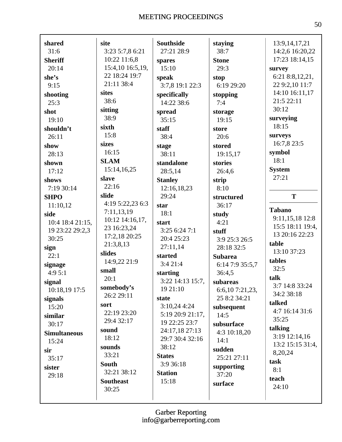| shared              | site             | <b>Southside</b> |                 |                  |
|---------------------|------------------|------------------|-----------------|------------------|
| 31:6                | 3:23 5:7,8 6:21  | 27:21 28:9       | staying<br>38:7 | 13:9, 14, 17, 21 |
|                     |                  |                  |                 | 14:2,6 16:20,22  |
| <b>Sheriff</b>      | 10:22 11:6,8     | spares           | <b>Stone</b>    | 17:23 18:14,15   |
| 20:14               | 15:4,10 16:5,19, | 15:10            | 29:3            | survey           |
| she's               | 22 18:24 19:7    | speak            | stop            | 6:21 8:8,12,21,  |
| 9:15                | 21:11 38:4       | 3:7,8 19:1 22:3  | 6:19 29:20      | 22 9:2,10 11:7   |
| shooting            | sites            | specifically     | stopping        | 14:10 16:11,17   |
| 25:3                | 38:6             | 14:22 38:6       | 7:4             | 21:5 22:11       |
| shot                | sitting          | spread           | storage         | 30:12            |
| 19:10               | 38:9             | 35:15            | 19:15           | surveying        |
| shouldn't           | sixth            | staff            | store           | 18:15            |
| 26:11               | 15:8             | 38:4             | 20:6            | surveys          |
| show                | sizes            | stage            | stored          | 16:7,8 23:5      |
| 28:13               | 16:15            | 38:11            | 19:15,17        | symbol           |
| shown               | <b>SLAM</b>      | standalone       | stories         | 18:1             |
| 17:12               | 15:14,16,25      | 28:5,14          | 26:4,6          | <b>System</b>    |
| shows               | slave            | <b>Stanley</b>   | strip           | 27:21            |
| 7:19 30:14          | 22:16            | 12:16,18,23      | 8:10            |                  |
|                     | slide            | 29:24            |                 | T                |
| <b>SHPO</b>         | 4:19 5:22,23 6:3 |                  | structured      |                  |
| 11:10,12            | 7:11,13,19       | star             | 36:17           | <b>Tabano</b>    |
| side                | 10:12 14:16,17,  | 18:1             | study           | 9:11,15,18 12:8  |
| 10:4 18:4 21:15,    | 23 16:23,24      | start            | 4:21            | 15:5 18:11 19:4, |
| 19 23:22 29:2,3     | 17:2,18 20:25    | 3:25 6:24 7:1    | stuff           | 13 20:16 22:23   |
| 30:25               | 21:3,8,13        | 20:4 25:23       | 3:9 25:3 26:5   | table            |
| sign                | slides           | 27:11,14         | 28:18 32:5      | 13:10 37:23      |
| 22:1                | 14:9,22 21:9     | started          | <b>Subarea</b>  | tables           |
| signage             |                  | 3:421:4          | 6:14 7:9 35:5,7 | 32:5             |
| 4:95:1              | small            | starting         | 36:4,5          | talk             |
| signal              | 20:1             | 3:22 14:13 15:7, | subareas        | 3:7 14:8 33:24   |
| 10:18,19 17:5       | somebody's       | 19 21:10         | 6:6,10 7:21,23, | 34:2 38:18       |
| signals             | 26:2 29:11       | state            | 25 8:2 34:21    |                  |
| 15:20               | sort             | 3:10,24 4:24     | subsequent      | talked           |
| similar             | 22:19 23:20      | 5:19 20:9 21:17, | 14:5            | 4:7 16:14 31:6   |
| 30:17               | 29:4 32:17       | 19 22:25 23:7    | subsurface      | 35:25            |
| <b>Simultaneous</b> | sound            | 24:17,18 27:13   | 4:3 10:18,20    | talking          |
| 15:24               | 18:12            | 29:7 30:4 32:16  | 14:1            | 3:19 12:14,16    |
| sir                 | sounds           | 38:12            | sudden          | 13:2 15:15 31:4, |
| 35:17               | 33:21            | <b>States</b>    | 25:21 27:11     | 8,20,24          |
| sister              | <b>South</b>     | 3:9 36:18        | supporting      | task             |
| 29:18               | 32:21 38:12      | <b>Station</b>   | 37:20           | 8:1              |
|                     | <b>Southeast</b> | 15:18            | surface         | teach            |
|                     | 30:25            |                  |                 | 24:10            |
|                     |                  |                  |                 |                  |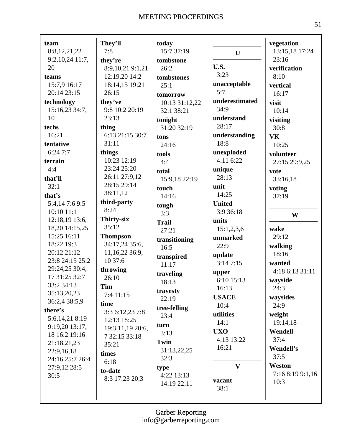Г

| team              | They'll                   | today                  |                | vegetation       |
|-------------------|---------------------------|------------------------|----------------|------------------|
| 8:8,12,21,22      | 7:8                       | 15:7 37:19             | $\mathbf U$    | 13:15,18 17:24   |
| $9:2,10,24$ 11:7, | they're                   | tombstone              |                | 23:16            |
| 20                | 8:9,10,21 9:1,21          | 26:2                   | U.S.           | verification     |
| teams             | 12:19,20 14:2             | tombstones             | 3:23           | 8:10             |
| 15:7,9 16:17      | 18:14,15 19:21            | 25:1                   | unacceptable   | vertical         |
| 20:14 23:15       | 26:15                     | tomorrow               | 5:7            | 16:17            |
| technology        | they've                   | 10:13 31:12,22         | underestimated | visit            |
| 15:16,23 34:7,    | 9:8 10:2 20:19            | 32:1 38:21             | 34:9           | 10:14            |
| 10                | 23:13                     | tonight                | understand     | visiting         |
| techs             | thing                     | 31:20 32:19            | 28:17          | 30:8             |
| 16:21             | 6:13 21:15 30:7           | tons                   | understanding  | <b>VK</b>        |
| tentative         | 31:11                     | 24:16                  | 18:8           | 10:25            |
| 6:247:7           | things                    | tools                  | unexploded     | volunteer        |
| terrain           | 10:23 12:19               | 4:4                    | 4:11 6:22      | 27:15 29:9,25    |
| 4:4               | 23:24 25:20               |                        | unique         |                  |
| that'll           | 26:11 27:9,12             | total<br>15:9,18 22:19 | 28:13          | vote             |
| 32:1              | 28:15 29:14               |                        | unit           | 33:16,18         |
| that's            | 38:11,12                  | touch                  | 14:25          | voting           |
| 5:4,147:69:5      | third-party               | 14:16                  | <b>United</b>  | 37:19            |
| 10:10 11:1        | 8:24                      | tough                  | 3:9 36:18      |                  |
| 12:18,19 13:6,    | Thirty-six                | 3:3                    | units          | W                |
| 18,20 14:15,25    | 35:12                     | <b>Trail</b>           |                | wake             |
| 15:25 16:11       | <b>Thompson</b>           | 27:21                  | 15:1,2,3,6     | 29:12            |
| 18:22 19:3        | 34:17,24 35:6,            | transitioning          | unmarked       |                  |
| 20:12 21:12       | 11,16,22 36:9,            | 16:5                   | 22:9           | walking<br>18:16 |
| 23:8 24:15 25:2   | 10 37:6                   | transpired             | update         |                  |
| 29:24,25 30:4,    | throwing                  | 11:17                  | 3:147:15       | wanted           |
| 17 31:25 32:7     | 26:10                     | traveling              | upper          | 4:18 6:13 31:11  |
| 33:2 34:13        | <b>Tim</b>                | 18:13                  | 6:10 15:13     | wayside          |
| 35:13,20,23       | 7:4 11:15                 | travesty               | 16:13          | 24:3             |
| 36:2,4 38:5,9     | time                      | 22:19                  | <b>USACE</b>   | waysides         |
| there's           | 3:3 6:12,23 7:8           | tree-felling           | 10:4           | 24:9             |
| 5:6,14,21 8:19    | 12:13 18:25               | 23:4                   | utilities      | weight           |
| 9:19,20 13:17,    | 19:3,11,19 20:6,          | turn                   | 14:1           | 19:14,18         |
| 18 16:2 19:16     | 7 32:15 33:18             | 3:13                   | <b>UXO</b>     | Wendell          |
| 21:18,21,23       | 35:21                     | Twin                   | 4:13 13:22     | 37:4             |
| 22:9,16,18        | times                     | 31:13,22,25            | 16:21          | Wendell's        |
| 24:16 25:7 26:4   | 6:18                      | 32:3                   |                | 37:5             |
| 27:9,12 28:5      |                           | type                   | $\mathbf{V}$   | Weston           |
| 30:5              | to-date<br>8:3 17:23 20:3 | 4:22 13:13             |                | 7:16 8:19 9:1,16 |
|                   |                           | 14:19 22:11            | vacant         | 10:3             |
|                   |                           |                        | 38:1           |                  |
|                   |                           |                        |                |                  |